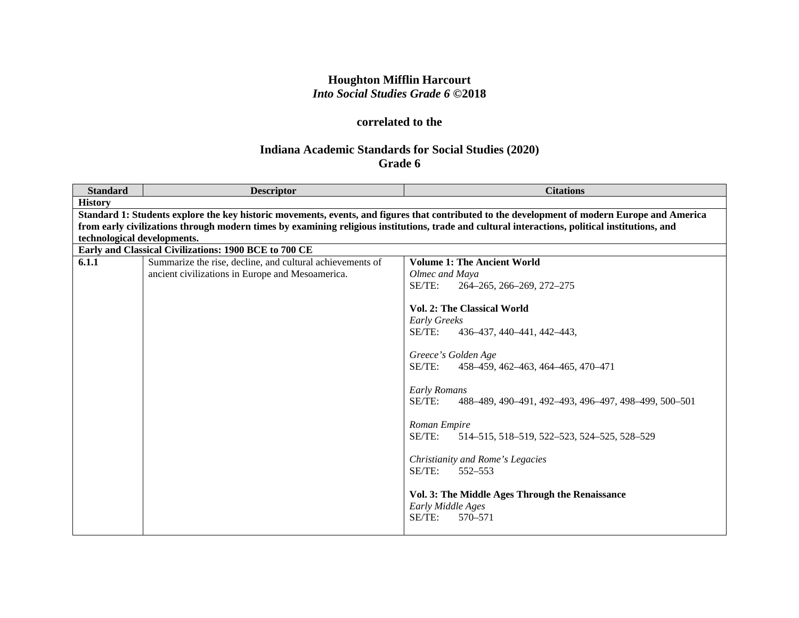## **Houghton Mifflin Harcourt** *Into Social Studies Grade 6* **©2018**

# **correlated to the**

## **Indiana Academic Standards for Social Studies (2020) Grade 6**

| <b>Standard</b>             | <b>Descriptor</b>                                         | <b>Citations</b>                                                                                                                                |
|-----------------------------|-----------------------------------------------------------|-------------------------------------------------------------------------------------------------------------------------------------------------|
| <b>History</b>              |                                                           |                                                                                                                                                 |
|                             |                                                           | Standard 1: Students explore the key historic movements, events, and figures that contributed to the development of modern Europe and America   |
|                             |                                                           | from early civilizations through modern times by examining religious institutions, trade and cultural interactions, political institutions, and |
| technological developments. |                                                           |                                                                                                                                                 |
|                             | Early and Classical Civilizations: 1900 BCE to 700 CE     |                                                                                                                                                 |
| 6.1.1                       | Summarize the rise, decline, and cultural achievements of | <b>Volume 1: The Ancient World</b>                                                                                                              |
|                             | ancient civilizations in Europe and Mesoamerica.          | Olmec and Maya                                                                                                                                  |
|                             |                                                           | SE/TE:<br>264-265, 266-269, 272-275                                                                                                             |
|                             |                                                           |                                                                                                                                                 |
|                             |                                                           | <b>Vol. 2: The Classical World</b>                                                                                                              |
|                             |                                                           | <b>Early Greeks</b>                                                                                                                             |
|                             |                                                           | SE/TE:<br>436-437, 440-441, 442-443,                                                                                                            |
|                             |                                                           |                                                                                                                                                 |
|                             |                                                           | Greece's Golden Age                                                                                                                             |
|                             |                                                           | $SE/TE$ :<br>458-459, 462-463, 464-465, 470-471                                                                                                 |
|                             |                                                           |                                                                                                                                                 |
|                             |                                                           | Early Romans                                                                                                                                    |
|                             |                                                           | $SE/TE$ :<br>488–489, 490–491, 492–493, 496–497, 498–499, 500–501                                                                               |
|                             |                                                           |                                                                                                                                                 |
|                             |                                                           | Roman Empire                                                                                                                                    |
|                             |                                                           | SE/TE:<br>514–515, 518–519, 522–523, 524–525, 528–529                                                                                           |
|                             |                                                           |                                                                                                                                                 |
|                             |                                                           | Christianity and Rome's Legacies                                                                                                                |
|                             |                                                           | SE/TE:<br>552-553                                                                                                                               |
|                             |                                                           |                                                                                                                                                 |
|                             |                                                           | Vol. 3: The Middle Ages Through the Renaissance                                                                                                 |
|                             |                                                           | Early Middle Ages                                                                                                                               |
|                             |                                                           | SE/TE:<br>570-571                                                                                                                               |
|                             |                                                           |                                                                                                                                                 |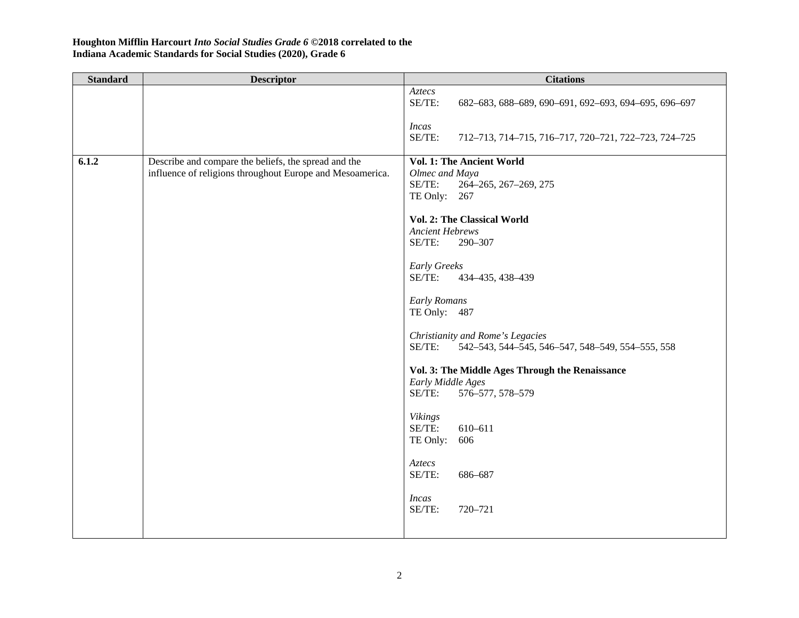| <b>Standard</b> | <b>Descriptor</b>                                                                                                 | <b>Citations</b>                                                                                                                                                                                                                                                                                                                                                                                                                                                                                                             |
|-----------------|-------------------------------------------------------------------------------------------------------------------|------------------------------------------------------------------------------------------------------------------------------------------------------------------------------------------------------------------------------------------------------------------------------------------------------------------------------------------------------------------------------------------------------------------------------------------------------------------------------------------------------------------------------|
|                 |                                                                                                                   | Aztecs<br>SE/TE:<br>682-683, 688-689, 690-691, 692-693, 694-695, 696-697                                                                                                                                                                                                                                                                                                                                                                                                                                                     |
|                 |                                                                                                                   | <b>Incas</b><br>SE/TE:<br>712-713, 714-715, 716-717, 720-721, 722-723, 724-725                                                                                                                                                                                                                                                                                                                                                                                                                                               |
| 6.1.2           | Describe and compare the beliefs, the spread and the<br>influence of religions throughout Europe and Mesoamerica. | Vol. 1: The Ancient World<br>Olmec and Maya<br>SE/TE:<br>264-265, 267-269, 275<br>TE Only: 267<br>Vol. 2: The Classical World<br><b>Ancient Hebrews</b><br>SE/TE:<br>290-307<br><b>Early Greeks</b><br>SE/TE:<br>434-435, 438-439<br>Early Romans<br>TE Only: 487<br>Christianity and Rome's Legacies<br>SE/TE:<br>542-543, 544-545, 546-547, 548-549, 554-555, 558<br>Vol. 3: The Middle Ages Through the Renaissance<br>Early Middle Ages<br>SE/TE:<br>576-577, 578-579<br>Vikings<br>SE/TE:<br>610-611<br>TE Only:<br>606 |
|                 |                                                                                                                   | $Aztecs$<br>SE/TE:<br>686-687                                                                                                                                                                                                                                                                                                                                                                                                                                                                                                |
|                 |                                                                                                                   | <b>Incas</b><br>SE/TE:<br>720-721                                                                                                                                                                                                                                                                                                                                                                                                                                                                                            |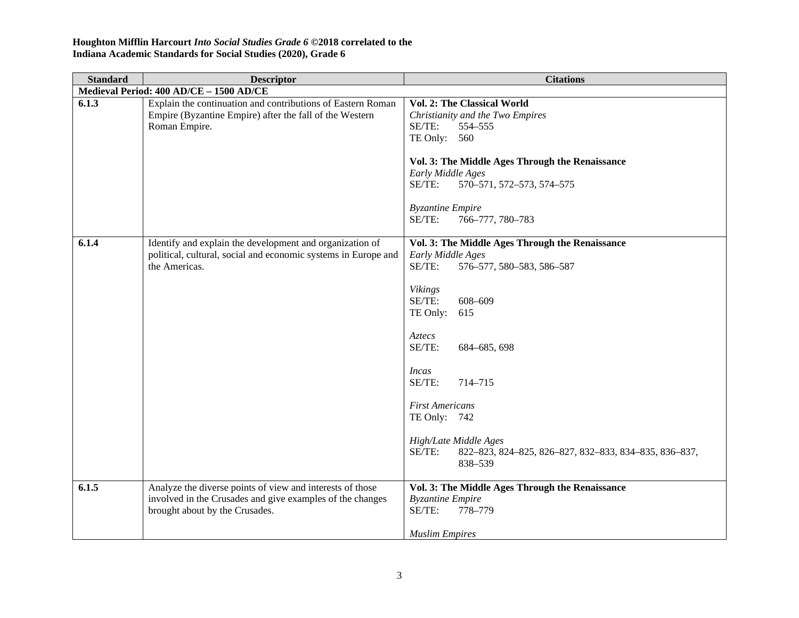| <b>Standard</b> | <b>Descriptor</b>                                                                                                                                        | <b>Citations</b>                                                                                                                                                                                                                                                                                                                                                                                |
|-----------------|----------------------------------------------------------------------------------------------------------------------------------------------------------|-------------------------------------------------------------------------------------------------------------------------------------------------------------------------------------------------------------------------------------------------------------------------------------------------------------------------------------------------------------------------------------------------|
|                 | Medieval Period: 400 AD/CE - 1500 AD/CE                                                                                                                  |                                                                                                                                                                                                                                                                                                                                                                                                 |
| 6.1.3           | Explain the continuation and contributions of Eastern Roman<br>Empire (Byzantine Empire) after the fall of the Western<br>Roman Empire.                  | Vol. 2: The Classical World<br>Christianity and the Two Empires<br>SE/TE:<br>554-555<br>TE Only: 560<br>Vol. 3: The Middle Ages Through the Renaissance<br>Early Middle Ages<br>SE/TE:<br>570-571, 572-573, 574-575<br><b>Byzantine Empire</b><br>SE/TE:<br>766-777, 780-783                                                                                                                    |
| 6.1.4           | Identify and explain the development and organization of<br>political, cultural, social and economic systems in Europe and<br>the Americas.              | Vol. 3: The Middle Ages Through the Renaissance<br>Early Middle Ages<br>SE/TE:<br>576-577, 580-583, 586-587<br><b>Vikings</b><br>SE/TE:<br>608-609<br>TE Only:<br>615<br>Aztecs<br>SE/TE:<br>684-685, 698<br><i>Incas</i><br>SE/TE:<br>714-715<br><b>First Americans</b><br>TE Only: 742<br>High/Late Middle Ages<br>SE/TE:<br>822-823, 824-825, 826-827, 832-833, 834-835, 836-837,<br>838-539 |
| 6.1.5           | Analyze the diverse points of view and interests of those<br>involved in the Crusades and give examples of the changes<br>brought about by the Crusades. | Vol. 3: The Middle Ages Through the Renaissance<br><b>Byzantine Empire</b><br>SE/TE:<br>778-779<br><b>Muslim Empires</b>                                                                                                                                                                                                                                                                        |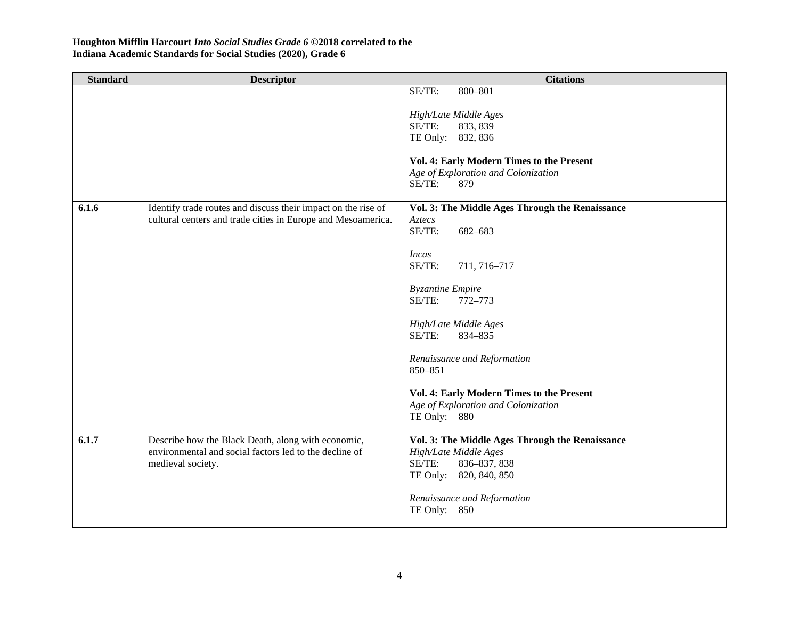| <b>Standard</b> | <b>Descriptor</b>                                                                                                                 | <b>Citations</b>                                                                                                             |
|-----------------|-----------------------------------------------------------------------------------------------------------------------------------|------------------------------------------------------------------------------------------------------------------------------|
|                 |                                                                                                                                   | SE/TE:<br>800-801<br>High/Late Middle Ages<br>SE/TE:<br>833, 839                                                             |
|                 |                                                                                                                                   | TE Only: 832, 836                                                                                                            |
|                 |                                                                                                                                   | Vol. 4: Early Modern Times to the Present<br>Age of Exploration and Colonization<br>SE/TE:<br>879                            |
| 6.1.6           | Identify trade routes and discuss their impact on the rise of<br>cultural centers and trade cities in Europe and Mesoamerica.     | Vol. 3: The Middle Ages Through the Renaissance<br>Aztecs<br>SE/TE:<br>682-683                                               |
|                 |                                                                                                                                   | <b>Incas</b><br>SE/TE:<br>711, 716-717                                                                                       |
|                 |                                                                                                                                   | <b>Byzantine Empire</b><br>SE/TE:<br>772-773                                                                                 |
|                 |                                                                                                                                   | High/Late Middle Ages<br>SE/TE:<br>834-835                                                                                   |
|                 |                                                                                                                                   | Renaissance and Reformation<br>850-851                                                                                       |
|                 |                                                                                                                                   | Vol. 4: Early Modern Times to the Present<br>Age of Exploration and Colonization<br>TE Only: 880                             |
| 6.1.7           | Describe how the Black Death, along with economic,<br>environmental and social factors led to the decline of<br>medieval society. | Vol. 3: The Middle Ages Through the Renaissance<br>High/Late Middle Ages<br>SE/TE:<br>836-837, 838<br>TE Only: 820, 840, 850 |
|                 |                                                                                                                                   | Renaissance and Reformation<br>TE Only: 850                                                                                  |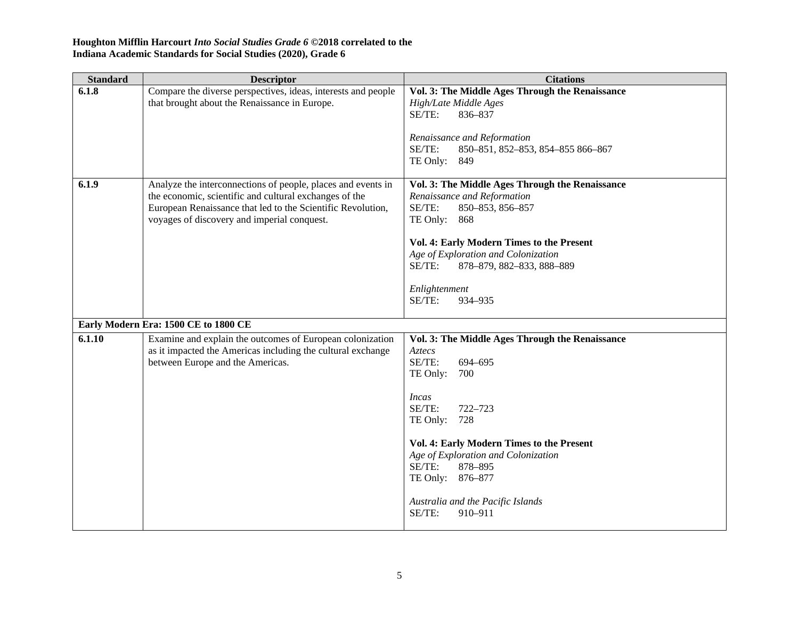| <b>Standard</b> | <b>Descriptor</b>                                                                                                                                                                                                                    | <b>Citations</b>                                                                                                                                                                                                                                                                                                                                 |
|-----------------|--------------------------------------------------------------------------------------------------------------------------------------------------------------------------------------------------------------------------------------|--------------------------------------------------------------------------------------------------------------------------------------------------------------------------------------------------------------------------------------------------------------------------------------------------------------------------------------------------|
| 6.1.8           | Compare the diverse perspectives, ideas, interests and people<br>that brought about the Renaissance in Europe.                                                                                                                       | Vol. 3: The Middle Ages Through the Renaissance<br>High/Late Middle Ages<br>SE/TE:<br>836-837<br>Renaissance and Reformation<br>SE/TE:<br>850-851, 852-853, 854-855 866-867<br>TE Only: 849                                                                                                                                                      |
| 6.1.9           | Analyze the interconnections of people, places and events in<br>the economic, scientific and cultural exchanges of the<br>European Renaissance that led to the Scientific Revolution,<br>voyages of discovery and imperial conquest. | Vol. 3: The Middle Ages Through the Renaissance<br>Renaissance and Reformation<br>SE/TE:<br>850-853, 856-857<br>TE Only: 868<br>Vol. 4: Early Modern Times to the Present<br>Age of Exploration and Colonization<br>SE/TE:<br>878-879, 882-833, 888-889<br>Enlightenment<br>SE/TE:<br>934-935                                                    |
|                 | Early Modern Era: 1500 CE to 1800 CE                                                                                                                                                                                                 |                                                                                                                                                                                                                                                                                                                                                  |
| 6.1.10          | Examine and explain the outcomes of European colonization<br>as it impacted the Americas including the cultural exchange<br>between Europe and the Americas.                                                                         | Vol. 3: The Middle Ages Through the Renaissance<br>Aztecs<br>SE/TE:<br>694-695<br>TE Only:<br>700<br><i>Incas</i><br>SE/TE:<br>722-723<br>TE Only:<br>728<br>Vol. 4: Early Modern Times to the Present<br>Age of Exploration and Colonization<br>SE/TE:<br>878-895<br>TE Only: 876-877<br>Australia and the Pacific Islands<br>SE/TE:<br>910-911 |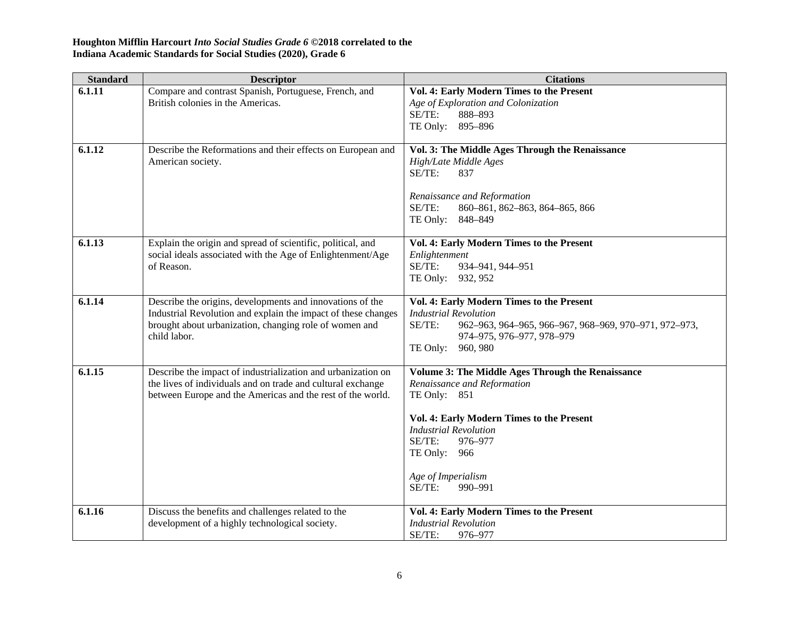| <b>Standard</b> | <b>Descriptor</b>                                                                                                                                                                                    | <b>Citations</b>                                                                                                                                                                                                                                                     |
|-----------------|------------------------------------------------------------------------------------------------------------------------------------------------------------------------------------------------------|----------------------------------------------------------------------------------------------------------------------------------------------------------------------------------------------------------------------------------------------------------------------|
| 6.1.11          | Compare and contrast Spanish, Portuguese, French, and<br>British colonies in the Americas.                                                                                                           | Vol. 4: Early Modern Times to the Present<br>Age of Exploration and Colonization<br>SE/TE:<br>888-893<br>TE Only: 895-896                                                                                                                                            |
| 6.1.12          | Describe the Reformations and their effects on European and<br>American society.                                                                                                                     | Vol. 3: The Middle Ages Through the Renaissance<br>High/Late Middle Ages<br>SE/TE:<br>837<br>Renaissance and Reformation<br>SE/TE:<br>860-861, 862-863, 864-865, 866<br>TE Only: 848-849                                                                             |
| 6.1.13          | Explain the origin and spread of scientific, political, and<br>social ideals associated with the Age of Enlightenment/Age<br>of Reason.                                                              | Vol. 4: Early Modern Times to the Present<br>Enlightenment<br>SE/TE:<br>934-941, 944-951<br>TE Only: 932, 952                                                                                                                                                        |
| 6.1.14          | Describe the origins, developments and innovations of the<br>Industrial Revolution and explain the impact of these changes<br>brought about urbanization, changing role of women and<br>child labor. | Vol. 4: Early Modern Times to the Present<br><b>Industrial Revolution</b><br>SE/TE:<br>962-963, 964-965, 966-967, 968-969, 970-971, 972-973,<br>974-975, 976-977, 978-979<br>TE Only:<br>960, 980                                                                    |
| 6.1.15          | Describe the impact of industrialization and urbanization on<br>the lives of individuals and on trade and cultural exchange<br>between Europe and the Americas and the rest of the world.            | <b>Volume 3: The Middle Ages Through the Renaissance</b><br>Renaissance and Reformation<br>TE Only: 851<br>Vol. 4: Early Modern Times to the Present<br><b>Industrial Revolution</b><br>SE/TE:<br>976-977<br>TE Only: 966<br>Age of Imperialism<br>SE/TE:<br>990-991 |
| 6.1.16          | Discuss the benefits and challenges related to the<br>development of a highly technological society.                                                                                                 | Vol. 4: Early Modern Times to the Present<br><b>Industrial Revolution</b><br>SE/TE:<br>976-977                                                                                                                                                                       |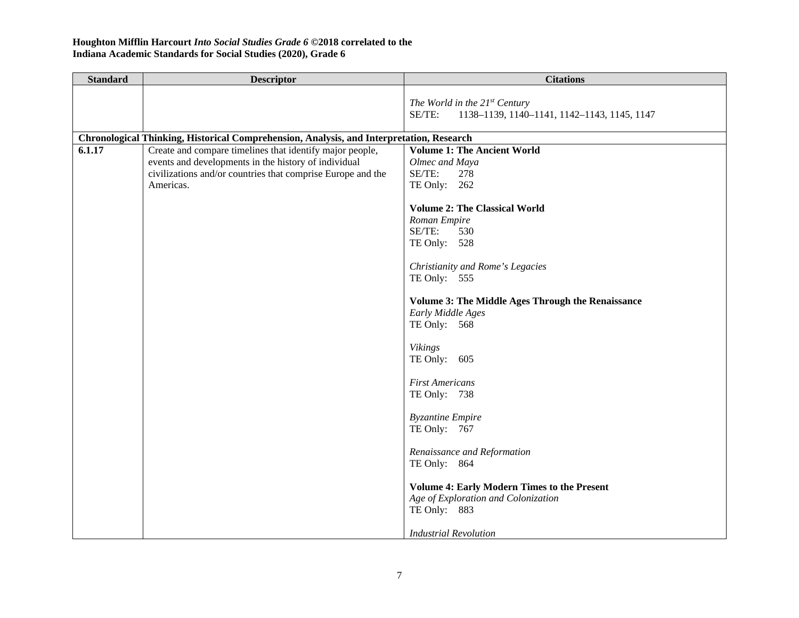| <b>Standard</b> | <b>Descriptor</b>                                                                                                                                                                                                                                                                        | <b>Citations</b>                                                                                                                                                                                                                                                                                                                                                                                                                                                                                                                                                      |
|-----------------|------------------------------------------------------------------------------------------------------------------------------------------------------------------------------------------------------------------------------------------------------------------------------------------|-----------------------------------------------------------------------------------------------------------------------------------------------------------------------------------------------------------------------------------------------------------------------------------------------------------------------------------------------------------------------------------------------------------------------------------------------------------------------------------------------------------------------------------------------------------------------|
|                 |                                                                                                                                                                                                                                                                                          | The World in the $21^{st}$ Century<br>SE/TE:<br>1138-1139, 1140-1141, 1142-1143, 1145, 1147                                                                                                                                                                                                                                                                                                                                                                                                                                                                           |
|                 |                                                                                                                                                                                                                                                                                          |                                                                                                                                                                                                                                                                                                                                                                                                                                                                                                                                                                       |
| 6.1.17          | Chronological Thinking, Historical Comprehension, Analysis, and Interpretation, Research<br>Create and compare timelines that identify major people,<br>events and developments in the history of individual<br>civilizations and/or countries that comprise Europe and the<br>Americas. | <b>Volume 1: The Ancient World</b><br>Olmec and Maya<br>SE/TE:<br>278<br>TE Only: $262$<br><b>Volume 2: The Classical World</b><br>Roman Empire<br>SE/TE:<br>530<br>TE Only: 528<br>Christianity and Rome's Legacies<br>TE Only: $555$<br><b>Volume 3: The Middle Ages Through the Renaissance</b><br>Early Middle Ages<br>TE Only: 568<br><b>Vikings</b><br>TE Only: $605$<br><b>First Americans</b><br>TE Only: 738<br><b>Byzantine Empire</b><br>TE Only: 767<br>Renaissance and Reformation<br>TE Only: 864<br><b>Volume 4: Early Modern Times to the Present</b> |
|                 |                                                                                                                                                                                                                                                                                          | Age of Exploration and Colonization<br>TE Only: 883<br><b>Industrial Revolution</b>                                                                                                                                                                                                                                                                                                                                                                                                                                                                                   |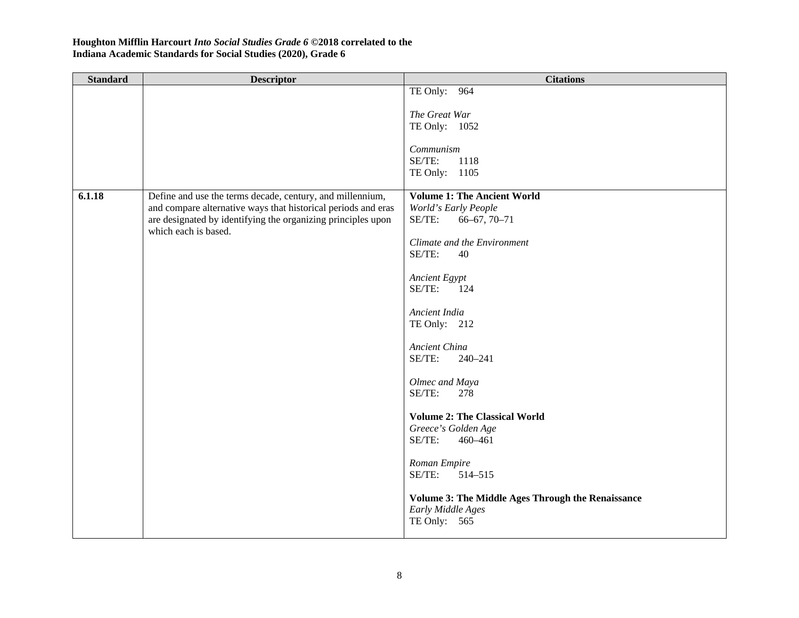| <b>Standard</b> | <b>Descriptor</b>                                             | <b>Citations</b>                                  |
|-----------------|---------------------------------------------------------------|---------------------------------------------------|
|                 |                                                               | TE Only: 964                                      |
|                 |                                                               |                                                   |
|                 |                                                               | The Great War                                     |
|                 |                                                               | TE Only: 1052                                     |
|                 |                                                               | Communism                                         |
|                 |                                                               | SE/TE:<br>1118                                    |
|                 |                                                               | TE Only: 1105                                     |
|                 |                                                               |                                                   |
| 6.1.18          | Define and use the terms decade, century, and millennium,     | <b>Volume 1: The Ancient World</b>                |
|                 | and compare alternative ways that historical periods and eras | World's Early People                              |
|                 | are designated by identifying the organizing principles upon  | SE/TE:<br>$66 - 67, 70 - 71$                      |
|                 | which each is based.                                          |                                                   |
|                 |                                                               | Climate and the Environment                       |
|                 |                                                               | SE/TE:<br>40                                      |
|                 |                                                               | Ancient Egypt                                     |
|                 |                                                               | SE/TE:<br>124                                     |
|                 |                                                               |                                                   |
|                 |                                                               | Ancient India                                     |
|                 |                                                               | TE Only: 212                                      |
|                 |                                                               |                                                   |
|                 |                                                               | Ancient China                                     |
|                 |                                                               | SE/TE:<br>240-241                                 |
|                 |                                                               | Olmec and Maya                                    |
|                 |                                                               | SE/TE:<br>278                                     |
|                 |                                                               |                                                   |
|                 |                                                               | <b>Volume 2: The Classical World</b>              |
|                 |                                                               | Greece's Golden Age                               |
|                 |                                                               | SE/TE:<br>460-461                                 |
|                 |                                                               |                                                   |
|                 |                                                               | Roman Empire<br>SE/TE:                            |
|                 |                                                               | 514-515                                           |
|                 |                                                               | Volume 3: The Middle Ages Through the Renaissance |
|                 |                                                               | Early Middle Ages                                 |
|                 |                                                               | TE Only: $565$                                    |
|                 |                                                               |                                                   |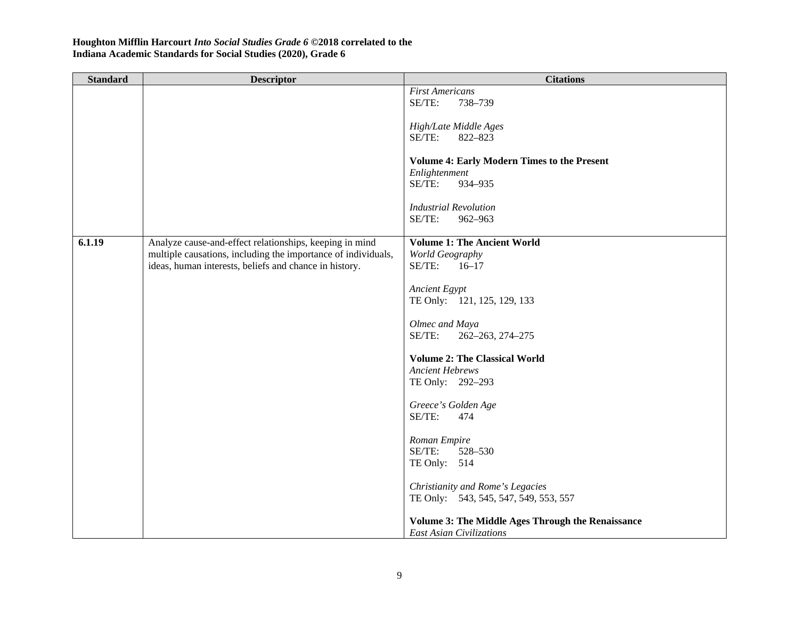| <b>Standard</b> | <b>Descriptor</b>                                             | <b>Citations</b>                                                                     |
|-----------------|---------------------------------------------------------------|--------------------------------------------------------------------------------------|
|                 |                                                               | <b>First Americans</b><br>SE/TE:<br>738-739                                          |
|                 |                                                               |                                                                                      |
|                 |                                                               | High/Late Middle Ages                                                                |
|                 |                                                               | SE/TE:<br>822-823                                                                    |
|                 |                                                               | <b>Volume 4: Early Modern Times to the Present</b>                                   |
|                 |                                                               | Enlightenment                                                                        |
|                 |                                                               | SE/TE:<br>934-935                                                                    |
|                 |                                                               | <b>Industrial Revolution</b>                                                         |
|                 |                                                               | SE/TE:<br>962-963                                                                    |
| 6.1.19          | Analyze cause-and-effect relationships, keeping in mind       | <b>Volume 1: The Ancient World</b>                                                   |
|                 | multiple causations, including the importance of individuals, | World Geography                                                                      |
|                 | ideas, human interests, beliefs and chance in history.        | SE/TE:<br>$16 - 17$                                                                  |
|                 |                                                               | <b>Ancient Egypt</b>                                                                 |
|                 |                                                               | TE Only: 121, 125, 129, 133                                                          |
|                 |                                                               |                                                                                      |
|                 |                                                               | Olmec and Maya<br>SE/TE:<br>262-263, 274-275                                         |
|                 |                                                               |                                                                                      |
|                 |                                                               | <b>Volume 2: The Classical World</b>                                                 |
|                 |                                                               | <b>Ancient Hebrews</b>                                                               |
|                 |                                                               | TE Only: 292-293                                                                     |
|                 |                                                               | Greece's Golden Age                                                                  |
|                 |                                                               | SE/TE:<br>474                                                                        |
|                 |                                                               | Roman Empire                                                                         |
|                 |                                                               | SE/TE:<br>528-530                                                                    |
|                 |                                                               | TE Only: 514                                                                         |
|                 |                                                               | Christianity and Rome's Legacies                                                     |
|                 |                                                               | TE Only: 543, 545, 547, 549, 553, 557                                                |
|                 |                                                               |                                                                                      |
|                 |                                                               | <b>Volume 3: The Middle Ages Through the Renaissance</b><br>East Asian Civilizations |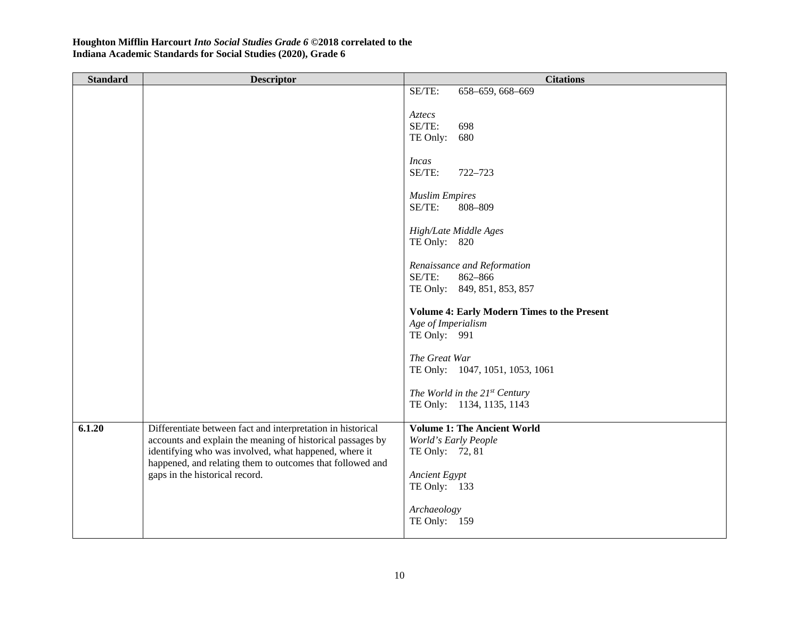| <b>Standard</b> | <b>Descriptor</b>                                                                                                                                                                                                                               | <b>Citations</b>                                                                         |
|-----------------|-------------------------------------------------------------------------------------------------------------------------------------------------------------------------------------------------------------------------------------------------|------------------------------------------------------------------------------------------|
|                 |                                                                                                                                                                                                                                                 | 658-659, 668-669<br>SE/TE:                                                               |
|                 |                                                                                                                                                                                                                                                 | Aztecs<br>SE/TE:<br>698<br>TE Only:<br>680                                               |
|                 |                                                                                                                                                                                                                                                 | <i>Incas</i><br>SE/TE:<br>722-723                                                        |
|                 |                                                                                                                                                                                                                                                 | <b>Muslim Empires</b><br>SE/TE:<br>808-809                                               |
|                 |                                                                                                                                                                                                                                                 | High/Late Middle Ages<br>TE Only: 820                                                    |
|                 |                                                                                                                                                                                                                                                 | Renaissance and Reformation<br>SE/TE:<br>862-866<br>TE Only: 849, 851, 853, 857          |
|                 |                                                                                                                                                                                                                                                 | <b>Volume 4: Early Modern Times to the Present</b><br>Age of Imperialism<br>TE Only: 991 |
|                 |                                                                                                                                                                                                                                                 | The Great War<br>TE Only: 1047, 1051, 1053, 1061                                         |
|                 |                                                                                                                                                                                                                                                 | The World in the 21st Century<br>TE Only: 1134, 1135, 1143                               |
| 6.1.20          | Differentiate between fact and interpretation in historical<br>accounts and explain the meaning of historical passages by<br>identifying who was involved, what happened, where it<br>happened, and relating them to outcomes that followed and | <b>Volume 1: The Ancient World</b><br>World's Early People<br>TE Only: 72, 81            |
|                 | gaps in the historical record.                                                                                                                                                                                                                  | <b>Ancient Egypt</b><br>TE Only: 133                                                     |
|                 |                                                                                                                                                                                                                                                 | Archaeology<br>TE Only: 159                                                              |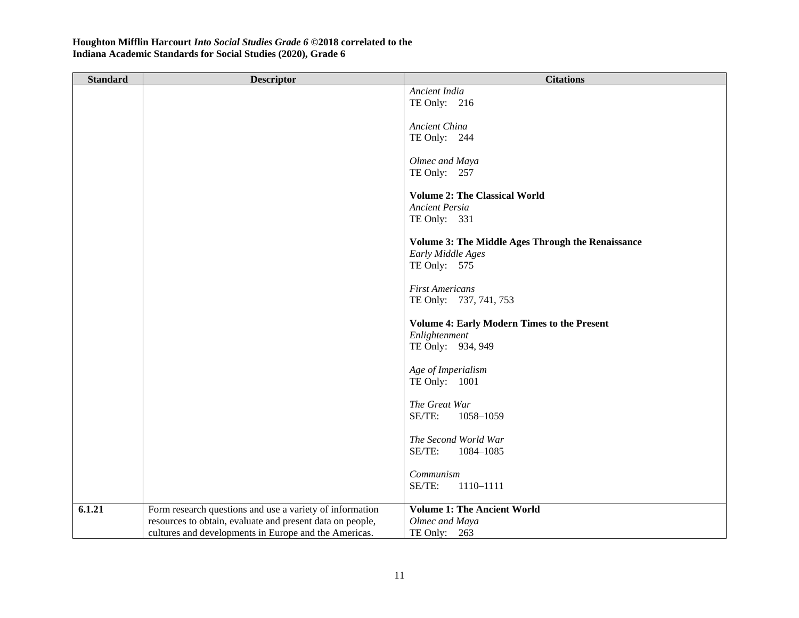| <b>Standard</b> | <b>Descriptor</b>                                         | <b>Citations</b>                                         |
|-----------------|-----------------------------------------------------------|----------------------------------------------------------|
|                 |                                                           | Ancient India                                            |
|                 |                                                           | TE Only: 216                                             |
|                 |                                                           |                                                          |
|                 |                                                           | Ancient China                                            |
|                 |                                                           | TE Only: 244                                             |
|                 |                                                           |                                                          |
|                 |                                                           | Olmec and Maya                                           |
|                 |                                                           | TE Only: 257                                             |
|                 |                                                           | <b>Volume 2: The Classical World</b>                     |
|                 |                                                           | <b>Ancient Persia</b>                                    |
|                 |                                                           | TE Only: 331                                             |
|                 |                                                           |                                                          |
|                 |                                                           | <b>Volume 3: The Middle Ages Through the Renaissance</b> |
|                 |                                                           | Early Middle Ages                                        |
|                 |                                                           | TE Only: 575                                             |
|                 |                                                           |                                                          |
|                 |                                                           | <b>First Americans</b>                                   |
|                 |                                                           | TE Only: 737, 741, 753                                   |
|                 |                                                           |                                                          |
|                 |                                                           | <b>Volume 4: Early Modern Times to the Present</b>       |
|                 |                                                           | Enlightenment                                            |
|                 |                                                           | TE Only: 934, 949                                        |
|                 |                                                           |                                                          |
|                 |                                                           | Age of Imperialism                                       |
|                 |                                                           | TE Only: 1001                                            |
|                 |                                                           |                                                          |
|                 |                                                           | The Great War                                            |
|                 |                                                           | SE/TE:<br>1058-1059                                      |
|                 |                                                           | The Second World War                                     |
|                 |                                                           | SE/TE:<br>1084-1085                                      |
|                 |                                                           |                                                          |
|                 |                                                           | Communism                                                |
|                 |                                                           | SE/TE:<br>1110-1111                                      |
|                 |                                                           |                                                          |
| 6.1.21          | Form research questions and use a variety of information  | <b>Volume 1: The Ancient World</b>                       |
|                 | resources to obtain, evaluate and present data on people, | Olmec and Maya                                           |
|                 | cultures and developments in Europe and the Americas.     | TE Only: 263                                             |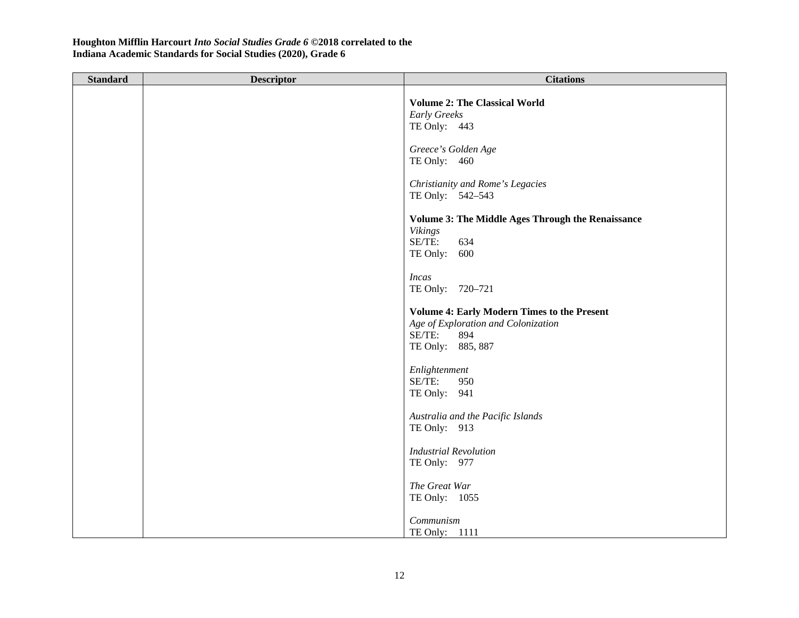| <b>Standard</b> | <b>Descriptor</b> | <b>Citations</b>                                                                                                                |
|-----------------|-------------------|---------------------------------------------------------------------------------------------------------------------------------|
|                 |                   | <b>Volume 2: The Classical World</b><br>Early Greeks<br>TE Only: 443                                                            |
|                 |                   | Greece's Golden Age<br>TE Only: 460                                                                                             |
|                 |                   | Christianity and Rome's Legacies<br>TE Only: 542-543                                                                            |
|                 |                   | Volume 3: The Middle Ages Through the Renaissance<br><b>Vikings</b><br>SE/TE:<br>634<br>TE Only: 600                            |
|                 |                   | <b>Incas</b><br>TE Only: 720-721                                                                                                |
|                 |                   | <b>Volume 4: Early Modern Times to the Present</b><br>Age of Exploration and Colonization<br>SE/TE:<br>894<br>TE Only: 885, 887 |
|                 |                   | Enlightenment<br>SE/TE:<br>950<br>TE Only: 941                                                                                  |
|                 |                   | Australia and the Pacific Islands<br>TE Only: 913                                                                               |
|                 |                   | <b>Industrial Revolution</b><br>TE Only: 977                                                                                    |
|                 |                   | The Great War<br>TE Only: 1055                                                                                                  |
|                 |                   | Communism<br>TE Only: 1111                                                                                                      |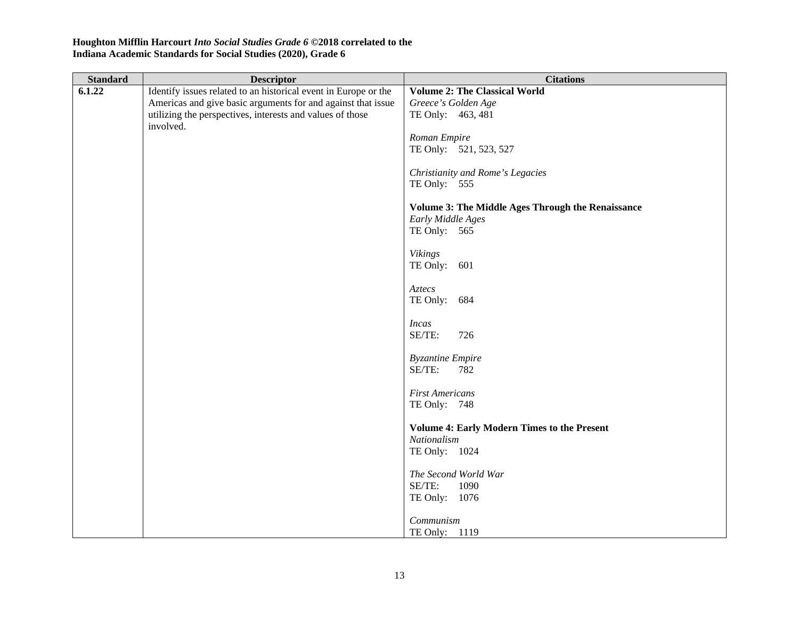| <b>Standard</b> | <b>Descriptor</b>                                               | <b>Citations</b>                                         |
|-----------------|-----------------------------------------------------------------|----------------------------------------------------------|
| 6.1.22          | Identify issues related to an historical event in Europe or the | <b>Volume 2: The Classical World</b>                     |
|                 | Americas and give basic arguments for and against that issue    | Greece's Golden Age                                      |
|                 | utilizing the perspectives, interests and values of those       | TE Only: 463, 481                                        |
|                 | involved.                                                       |                                                          |
|                 |                                                                 | Roman Empire                                             |
|                 |                                                                 | TE Only: 521, 523, 527                                   |
|                 |                                                                 |                                                          |
|                 |                                                                 | Christianity and Rome's Legacies<br>TE Only: 555         |
|                 |                                                                 |                                                          |
|                 |                                                                 | <b>Volume 3: The Middle Ages Through the Renaissance</b> |
|                 |                                                                 | Early Middle Ages                                        |
|                 |                                                                 | TE Only: 565                                             |
|                 |                                                                 |                                                          |
|                 |                                                                 | <b>Vikings</b>                                           |
|                 |                                                                 | TE Only: 601                                             |
|                 |                                                                 | Aztecs                                                   |
|                 |                                                                 | TE Only: 684                                             |
|                 |                                                                 |                                                          |
|                 |                                                                 | <i>Incas</i>                                             |
|                 |                                                                 | SE/TE:<br>726                                            |
|                 |                                                                 |                                                          |
|                 |                                                                 | <b>Byzantine Empire</b>                                  |
|                 |                                                                 | SE/TE:<br>782                                            |
|                 |                                                                 | <b>First Americans</b>                                   |
|                 |                                                                 | TE Only: 748                                             |
|                 |                                                                 |                                                          |
|                 |                                                                 | <b>Volume 4: Early Modern Times to the Present</b>       |
|                 |                                                                 | Nationalism                                              |
|                 |                                                                 | TE Only: 1024                                            |
|                 |                                                                 |                                                          |
|                 |                                                                 | The Second World War                                     |
|                 |                                                                 | SE/TE:<br>1090                                           |
|                 |                                                                 | TE Only: 1076                                            |
|                 |                                                                 | Communism                                                |
|                 |                                                                 | TE Only: 1119                                            |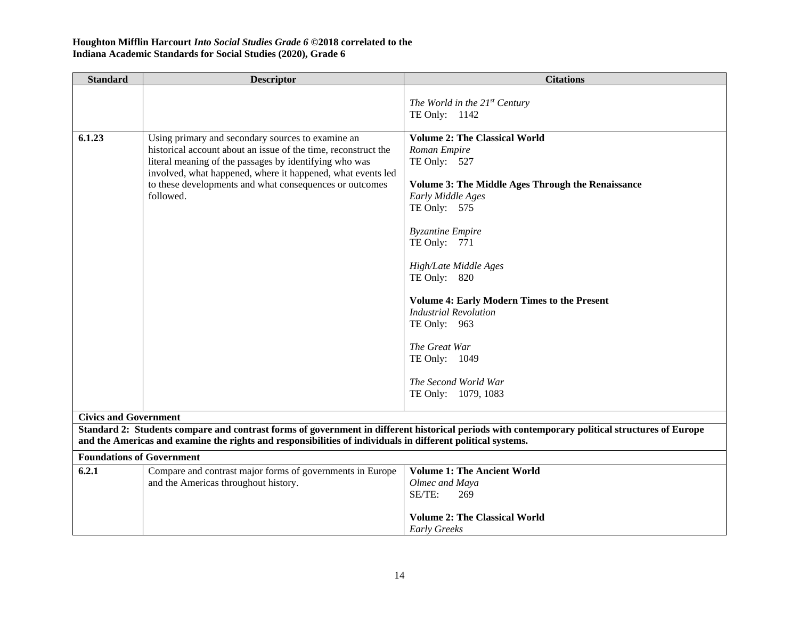| <b>Standard</b>                  | <b>Descriptor</b>                                                                                                        | <b>Citations</b>                                                                                                                               |
|----------------------------------|--------------------------------------------------------------------------------------------------------------------------|------------------------------------------------------------------------------------------------------------------------------------------------|
|                                  |                                                                                                                          | The World in the $21^{st}$ Century                                                                                                             |
|                                  |                                                                                                                          | TE Only: 1142                                                                                                                                  |
| 6.1.23                           | Using primary and secondary sources to examine an                                                                        | <b>Volume 2: The Classical World</b>                                                                                                           |
|                                  | historical account about an issue of the time, reconstruct the<br>literal meaning of the passages by identifying who was | Roman Empire<br>TE Only: 527                                                                                                                   |
|                                  | involved, what happened, where it happened, what events led<br>to these developments and what consequences or outcomes   | <b>Volume 3: The Middle Ages Through the Renaissance</b>                                                                                       |
|                                  | followed.                                                                                                                | Early Middle Ages                                                                                                                              |
|                                  |                                                                                                                          | TE Only: 575                                                                                                                                   |
|                                  |                                                                                                                          | <b>Byzantine Empire</b>                                                                                                                        |
|                                  |                                                                                                                          | TE Only: 771                                                                                                                                   |
|                                  |                                                                                                                          | High/Late Middle Ages                                                                                                                          |
|                                  |                                                                                                                          | TE Only: 820                                                                                                                                   |
|                                  |                                                                                                                          | <b>Volume 4: Early Modern Times to the Present</b>                                                                                             |
|                                  |                                                                                                                          | <b>Industrial Revolution</b>                                                                                                                   |
|                                  |                                                                                                                          | TE Only: 963                                                                                                                                   |
|                                  |                                                                                                                          | The Great War                                                                                                                                  |
|                                  |                                                                                                                          | TE Only: 1049                                                                                                                                  |
|                                  |                                                                                                                          | The Second World War                                                                                                                           |
|                                  |                                                                                                                          | TE Only: 1079, 1083                                                                                                                            |
| <b>Civics and Government</b>     |                                                                                                                          |                                                                                                                                                |
|                                  | and the Americas and examine the rights and responsibilities of individuals in different political systems.              | Standard 2: Students compare and contrast forms of government in different historical periods with contemporary political structures of Europe |
| <b>Foundations of Government</b> |                                                                                                                          |                                                                                                                                                |
| 6.2.1                            | Compare and contrast major forms of governments in Europe                                                                | <b>Volume 1: The Ancient World</b>                                                                                                             |
|                                  | and the Americas throughout history.                                                                                     | Olmec and Maya                                                                                                                                 |
|                                  |                                                                                                                          | SE/TE:<br>269                                                                                                                                  |
|                                  |                                                                                                                          | <b>Volume 2: The Classical World</b>                                                                                                           |
|                                  |                                                                                                                          | <b>Early Greeks</b>                                                                                                                            |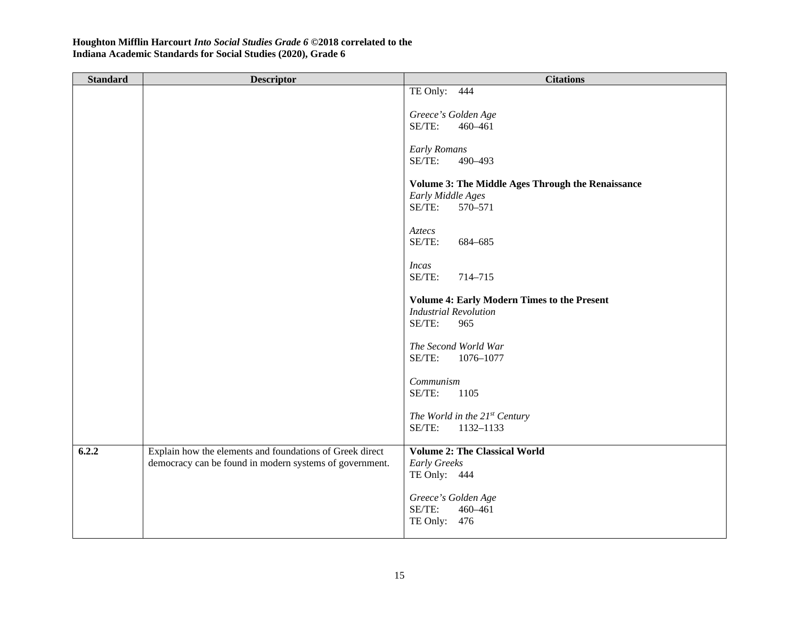| <b>Standard</b> | <b>Descriptor</b>                                                                                                   | <b>Citations</b>                                            |
|-----------------|---------------------------------------------------------------------------------------------------------------------|-------------------------------------------------------------|
|                 |                                                                                                                     | TE Only: 444                                                |
|                 |                                                                                                                     | Greece's Golden Age                                         |
|                 |                                                                                                                     | SE/TE:<br>460-461                                           |
|                 |                                                                                                                     |                                                             |
|                 |                                                                                                                     | <b>Early Romans</b>                                         |
|                 |                                                                                                                     | SE/TE:<br>490-493                                           |
|                 |                                                                                                                     | <b>Volume 3: The Middle Ages Through the Renaissance</b>    |
|                 |                                                                                                                     | Early Middle Ages                                           |
|                 |                                                                                                                     | SE/TE:<br>570-571                                           |
|                 |                                                                                                                     | Aztecs                                                      |
|                 |                                                                                                                     | SE/TE:<br>684-685                                           |
|                 |                                                                                                                     |                                                             |
|                 |                                                                                                                     | <i>Incas</i>                                                |
|                 |                                                                                                                     | SE/TE:<br>714-715                                           |
|                 |                                                                                                                     | <b>Volume 4: Early Modern Times to the Present</b>          |
|                 |                                                                                                                     | <b>Industrial Revolution</b>                                |
|                 |                                                                                                                     | SE/TE:<br>965                                               |
|                 |                                                                                                                     | The Second World War                                        |
|                 |                                                                                                                     | SE/TE:<br>1076-1077                                         |
|                 |                                                                                                                     |                                                             |
|                 |                                                                                                                     | Communism                                                   |
|                 |                                                                                                                     | SE/TE:<br>1105                                              |
|                 |                                                                                                                     | The World in the 21st Century                               |
|                 |                                                                                                                     | SE/TE:<br>1132-1133                                         |
|                 |                                                                                                                     |                                                             |
| 6.2.2           | Explain how the elements and foundations of Greek direct<br>democracy can be found in modern systems of government. | <b>Volume 2: The Classical World</b><br><b>Early Greeks</b> |
|                 |                                                                                                                     | TE Only: 444                                                |
|                 |                                                                                                                     |                                                             |
|                 |                                                                                                                     | Greece's Golden Age                                         |
|                 |                                                                                                                     | SE/TE:<br>460-461                                           |
|                 |                                                                                                                     | TE Only: 476                                                |
|                 |                                                                                                                     |                                                             |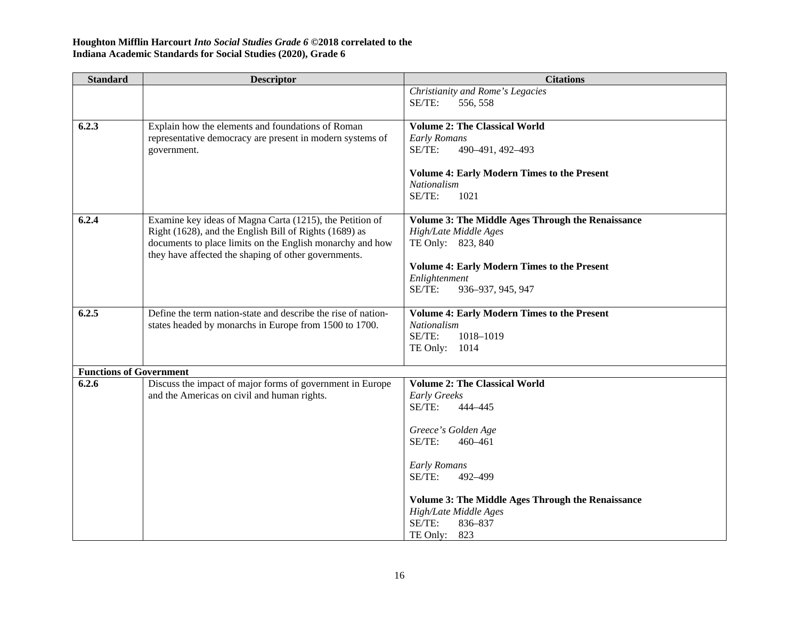| <b>Standard</b>                | <b>Descriptor</b>                                                                                                 | <b>Citations</b>                                         |
|--------------------------------|-------------------------------------------------------------------------------------------------------------------|----------------------------------------------------------|
|                                |                                                                                                                   | Christianity and Rome's Legacies<br>SE/TE:<br>556, 558   |
|                                |                                                                                                                   |                                                          |
| 6.2.3                          | Explain how the elements and foundations of Roman                                                                 | <b>Volume 2: The Classical World</b>                     |
|                                | representative democracy are present in modern systems of                                                         | <b>Early Romans</b>                                      |
|                                | government.                                                                                                       | SE/TE:<br>490-491, 492-493                               |
|                                |                                                                                                                   | <b>Volume 4: Early Modern Times to the Present</b>       |
|                                |                                                                                                                   | Nationalism                                              |
|                                |                                                                                                                   | SE/TE:<br>1021                                           |
| 6.2.4                          | Examine key ideas of Magna Carta (1215), the Petition of                                                          | <b>Volume 3: The Middle Ages Through the Renaissance</b> |
|                                | Right (1628), and the English Bill of Rights (1689) as                                                            | High/Late Middle Ages                                    |
|                                | documents to place limits on the English monarchy and how<br>they have affected the shaping of other governments. | TE Only: 823, 840                                        |
|                                |                                                                                                                   | <b>Volume 4: Early Modern Times to the Present</b>       |
|                                |                                                                                                                   | Enlightenment                                            |
|                                |                                                                                                                   | SE/TE:<br>936-937, 945, 947                              |
| 6.2.5                          | Define the term nation-state and describe the rise of nation-                                                     | <b>Volume 4: Early Modern Times to the Present</b>       |
|                                | states headed by monarchs in Europe from 1500 to 1700.                                                            | Nationalism                                              |
|                                |                                                                                                                   | SE/TE:<br>1018-1019                                      |
|                                |                                                                                                                   | TE Only: 1014                                            |
| <b>Functions of Government</b> |                                                                                                                   |                                                          |
| 6.2.6                          | Discuss the impact of major forms of government in Europe                                                         | <b>Volume 2: The Classical World</b>                     |
|                                | and the Americas on civil and human rights.                                                                       | <b>Early Greeks</b>                                      |
|                                |                                                                                                                   | SE/TE:<br>444-445                                        |
|                                |                                                                                                                   | Greece's Golden Age                                      |
|                                |                                                                                                                   | SE/TE:<br>460-461                                        |
|                                |                                                                                                                   | <b>Early Romans</b>                                      |
|                                |                                                                                                                   | SE/TE:<br>492-499                                        |
|                                |                                                                                                                   | <b>Volume 3: The Middle Ages Through the Renaissance</b> |
|                                |                                                                                                                   | High/Late Middle Ages                                    |
|                                |                                                                                                                   | SE/TE:<br>836-837                                        |
|                                |                                                                                                                   | TE Only: 823                                             |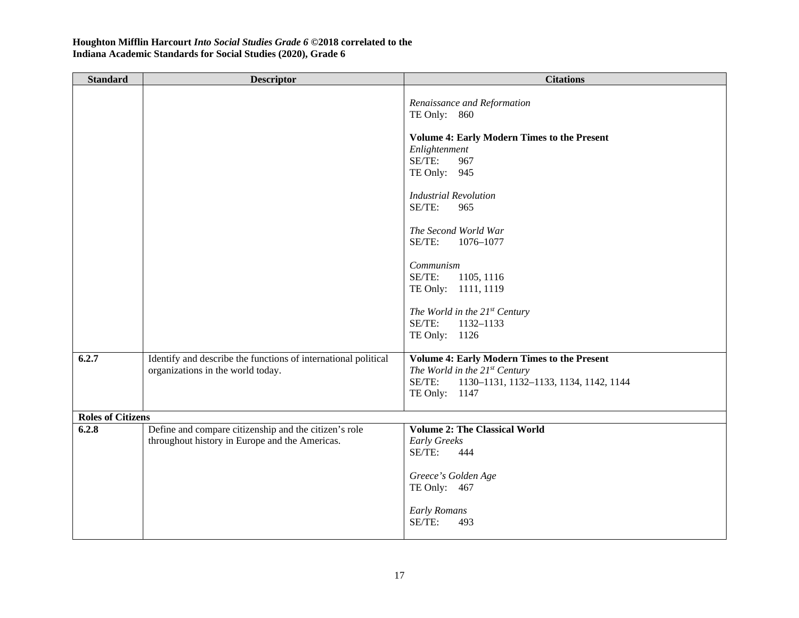| <b>Standard</b>          | <b>Descriptor</b>                                                                                       | <b>Citations</b>                                                                                                                                                                                                             |
|--------------------------|---------------------------------------------------------------------------------------------------------|------------------------------------------------------------------------------------------------------------------------------------------------------------------------------------------------------------------------------|
|                          |                                                                                                         | Renaissance and Reformation<br>TE Only: 860<br><b>Volume 4: Early Modern Times to the Present</b><br>Enlightenment<br>SE/TE:<br>967<br>TE Only: 945<br><b>Industrial Revolution</b><br>SE/TE:<br>965<br>The Second World War |
|                          |                                                                                                         | SE/TE:<br>1076-1077<br>Communism<br>SE/TE:<br>1105, 1116<br>TE Only: 1111, 1119<br>The World in the 21st Century<br>SE/TE:<br>1132-1133<br>TE Only: 1126                                                                     |
| 6.2.7                    | Identify and describe the functions of international political<br>organizations in the world today.     | <b>Volume 4: Early Modern Times to the Present</b><br>The World in the $21^{st}$ Century<br>SE/TE:<br>1130-1131, 1132-1133, 1134, 1142, 1144<br>TE Only: 1147                                                                |
| <b>Roles of Citizens</b> |                                                                                                         |                                                                                                                                                                                                                              |
| 6.2.8                    | Define and compare citizenship and the citizen's role<br>throughout history in Europe and the Americas. | <b>Volume 2: The Classical World</b><br><b>Early Greeks</b><br>SE/TE:<br>444<br>Greece's Golden Age<br>TE Only: 467<br><b>Early Romans</b><br>SE/TE:<br>493                                                                  |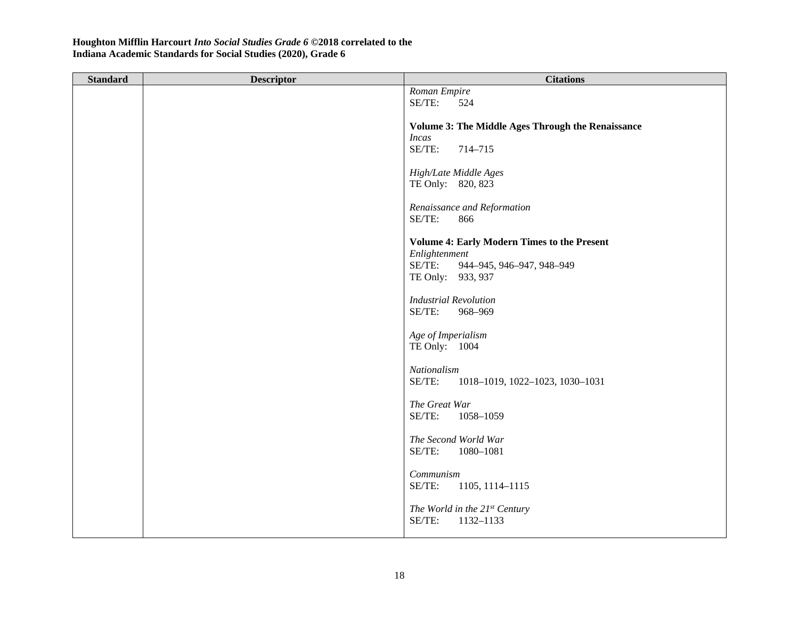| <b>Standard</b> | <b>Descriptor</b> | <b>Citations</b>                                   |
|-----------------|-------------------|----------------------------------------------------|
|                 |                   | Roman Empire                                       |
|                 |                   | SE/TE:<br>524                                      |
|                 |                   |                                                    |
|                 |                   | Volume 3: The Middle Ages Through the Renaissance  |
|                 |                   | <b>Incas</b>                                       |
|                 |                   | SE/TE:<br>714-715                                  |
|                 |                   |                                                    |
|                 |                   | High/Late Middle Ages<br>TE Only: 820, 823         |
|                 |                   |                                                    |
|                 |                   | Renaissance and Reformation                        |
|                 |                   | SE/TE:<br>866                                      |
|                 |                   |                                                    |
|                 |                   | <b>Volume 4: Early Modern Times to the Present</b> |
|                 |                   | Enlightenment                                      |
|                 |                   | SE/TE:<br>944-945, 946-947, 948-949                |
|                 |                   | TE Only: 933, 937                                  |
|                 |                   |                                                    |
|                 |                   | <b>Industrial Revolution</b>                       |
|                 |                   | SE/TE:<br>968-969                                  |
|                 |                   |                                                    |
|                 |                   | Age of Imperialism                                 |
|                 |                   | TE Only: 1004                                      |
|                 |                   | Nationalism                                        |
|                 |                   | SE/TE:<br>1018-1019, 1022-1023, 1030-1031          |
|                 |                   |                                                    |
|                 |                   | The Great War                                      |
|                 |                   | SE/TE:<br>1058-1059                                |
|                 |                   |                                                    |
|                 |                   | The Second World War                               |
|                 |                   | SE/TE:<br>1080-1081                                |
|                 |                   |                                                    |
|                 |                   | Communism                                          |
|                 |                   | SE/TE:<br>1105, 1114-1115                          |
|                 |                   |                                                    |
|                 |                   | The World in the 21st Century                      |
|                 |                   | SE/TE:<br>1132-1133                                |
|                 |                   |                                                    |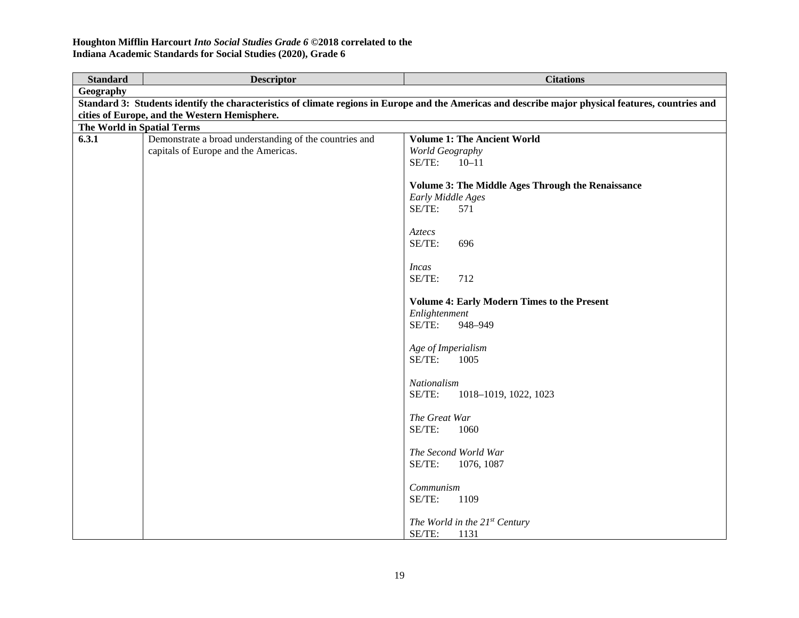| <b>Standard</b>            | <b>Descriptor</b>                                                                              | <b>Citations</b>                                                                                                                                    |
|----------------------------|------------------------------------------------------------------------------------------------|-----------------------------------------------------------------------------------------------------------------------------------------------------|
| Geography                  |                                                                                                |                                                                                                                                                     |
|                            |                                                                                                | Standard 3: Students identify the characteristics of climate regions in Europe and the Americas and describe major physical features, countries and |
|                            | cities of Europe, and the Western Hemisphere.                                                  |                                                                                                                                                     |
| The World in Spatial Terms |                                                                                                |                                                                                                                                                     |
| 6.3.1                      | Demonstrate a broad understanding of the countries and<br>capitals of Europe and the Americas. | <b>Volume 1: The Ancient World</b><br>World Geography                                                                                               |
|                            |                                                                                                | SE/TE:<br>$10 - 11$                                                                                                                                 |
|                            |                                                                                                | <b>Volume 3: The Middle Ages Through the Renaissance</b>                                                                                            |
|                            |                                                                                                | Early Middle Ages<br>SE/TE:<br>571                                                                                                                  |
|                            |                                                                                                | Aztecs                                                                                                                                              |
|                            |                                                                                                | SE/TE:<br>696                                                                                                                                       |
|                            |                                                                                                | <i>Incas</i>                                                                                                                                        |
|                            |                                                                                                | SE/TE:<br>712                                                                                                                                       |
|                            |                                                                                                | <b>Volume 4: Early Modern Times to the Present</b>                                                                                                  |
|                            |                                                                                                | Enlightenment<br>SE/TE:<br>948-949                                                                                                                  |
|                            |                                                                                                | Age of Imperialism<br>SE/TE:<br>1005                                                                                                                |
|                            |                                                                                                | Nationalism<br>SE/TE:<br>1018-1019, 1022, 1023                                                                                                      |
|                            |                                                                                                | The Great War<br>SE/TE:<br>1060                                                                                                                     |
|                            |                                                                                                | The Second World War<br>SE/TE:<br>1076, 1087                                                                                                        |
|                            |                                                                                                | Communism<br>SE/TE:<br>1109                                                                                                                         |
|                            |                                                                                                | The World in the 21st Century<br>SE/TE:<br>1131                                                                                                     |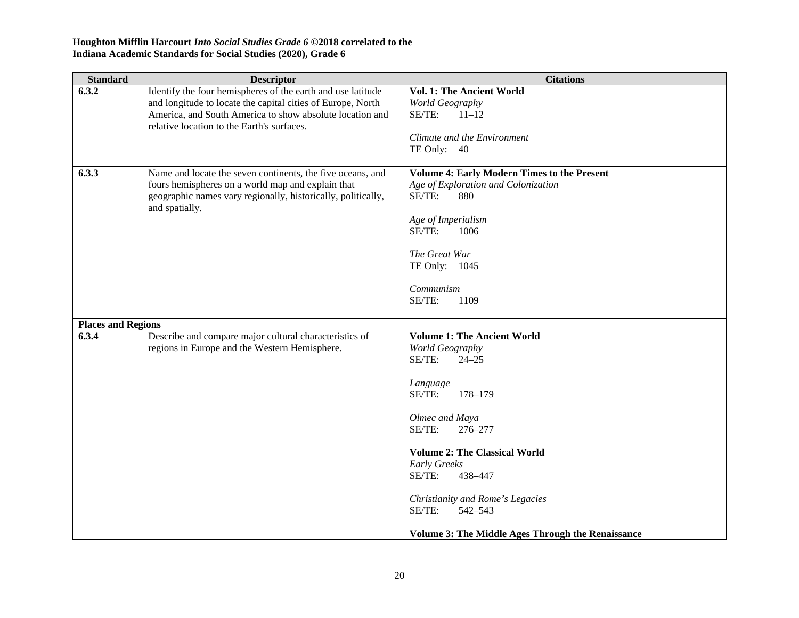| <b>Standard</b>           | <b>Descriptor</b>                                                                                                                                                                                                                    | <b>Citations</b>                                                                                                                                                                                                                                                                                                                                       |
|---------------------------|--------------------------------------------------------------------------------------------------------------------------------------------------------------------------------------------------------------------------------------|--------------------------------------------------------------------------------------------------------------------------------------------------------------------------------------------------------------------------------------------------------------------------------------------------------------------------------------------------------|
| 6.3.2                     | Identify the four hemispheres of the earth and use latitude<br>and longitude to locate the capital cities of Europe, North<br>America, and South America to show absolute location and<br>relative location to the Earth's surfaces. | Vol. 1: The Ancient World<br>World Geography<br>SE/TE:<br>$11 - 12$<br>Climate and the Environment<br>TE Only: 40                                                                                                                                                                                                                                      |
| 6.3.3                     | Name and locate the seven continents, the five oceans, and<br>fours hemispheres on a world map and explain that<br>geographic names vary regionally, historically, politically,<br>and spatially.                                    | Volume 4: Early Modern Times to the Present<br>Age of Exploration and Colonization<br>SE/TE:<br>880<br>Age of Imperialism<br>SE/TE:<br>1006<br>The Great War<br>TE Only: 1045<br>Communism<br>SE/TE:<br>1109                                                                                                                                           |
| <b>Places and Regions</b> |                                                                                                                                                                                                                                      |                                                                                                                                                                                                                                                                                                                                                        |
| 6.3.4                     | Describe and compare major cultural characteristics of<br>regions in Europe and the Western Hemisphere.                                                                                                                              | <b>Volume 1: The Ancient World</b><br>World Geography<br>SE/TE:<br>$24 - 25$<br>Language<br>SE/TE:<br>178-179<br>Olmec and Maya<br>SE/TE:<br>276-277<br><b>Volume 2: The Classical World</b><br>Early Greeks<br>SE/TE:<br>438-447<br>Christianity and Rome's Legacies<br>SE/TE:<br>542-543<br><b>Volume 3: The Middle Ages Through the Renaissance</b> |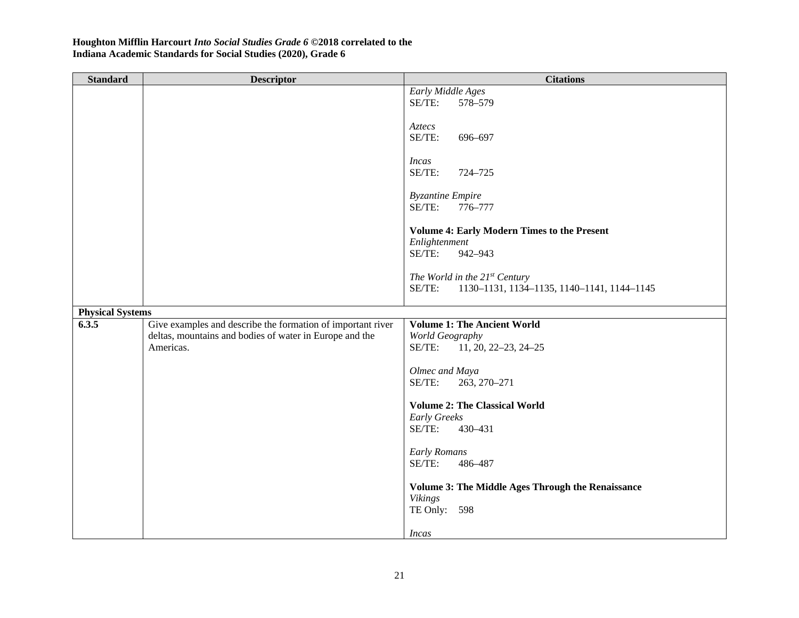| <b>Standard</b>         | <b>Descriptor</b>                                           | <b>Citations</b>                                                           |
|-------------------------|-------------------------------------------------------------|----------------------------------------------------------------------------|
|                         |                                                             | Early Middle Ages                                                          |
|                         |                                                             | 578-579<br>SE/TE:                                                          |
|                         |                                                             | Aztecs                                                                     |
|                         |                                                             | SE/TE:<br>696-697                                                          |
|                         |                                                             |                                                                            |
|                         |                                                             | <b>Incas</b>                                                               |
|                         |                                                             | SE/TE:<br>724-725                                                          |
|                         |                                                             | <b>Byzantine Empire</b>                                                    |
|                         |                                                             | SE/TE:<br>776-777                                                          |
|                         |                                                             |                                                                            |
|                         |                                                             | <b>Volume 4: Early Modern Times to the Present</b>                         |
|                         |                                                             | Enlightenment                                                              |
|                         |                                                             | SE/TE:<br>942-943                                                          |
|                         |                                                             | The World in the $21^{st}$ Century                                         |
|                         |                                                             | SE/TE:<br>1130-1131, 1134-1135, 1140-1141, 1144-1145                       |
|                         |                                                             |                                                                            |
| <b>Physical Systems</b> |                                                             |                                                                            |
| 6.3.5                   | Give examples and describe the formation of important river | <b>Volume 1: The Ancient World</b>                                         |
|                         | deltas, mountains and bodies of water in Europe and the     | World Geography                                                            |
|                         | Americas.                                                   | SE/TE:<br>$11, 20, 22 - 23, 24 - 25$                                       |
|                         |                                                             | Olmec and Maya                                                             |
|                         |                                                             | SE/TE:<br>263, 270-271                                                     |
|                         |                                                             |                                                                            |
|                         |                                                             | <b>Volume 2: The Classical World</b>                                       |
|                         |                                                             | Early Greeks<br>SE/TE:<br>430-431                                          |
|                         |                                                             |                                                                            |
|                         |                                                             | <b>Early Romans</b>                                                        |
|                         |                                                             | SE/TE:<br>486-487                                                          |
|                         |                                                             |                                                                            |
|                         |                                                             | <b>Volume 3: The Middle Ages Through the Renaissance</b><br><b>Vikings</b> |
|                         |                                                             | TE Only: 598                                                               |
|                         |                                                             |                                                                            |
|                         |                                                             | Incas                                                                      |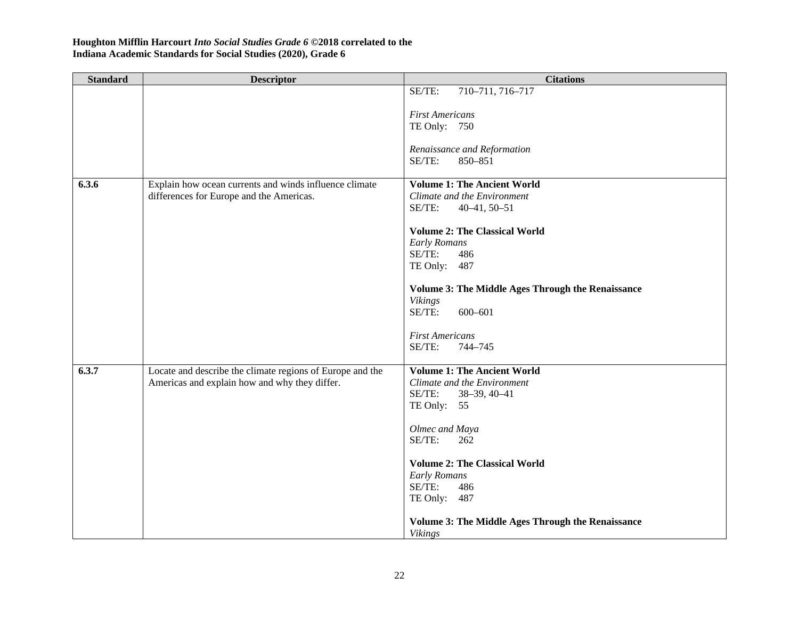| <b>Standard</b> | <b>Descriptor</b>                                         | <b>Citations</b>                                                           |
|-----------------|-----------------------------------------------------------|----------------------------------------------------------------------------|
|                 |                                                           | SE/TE:<br>710-711, 716-717                                                 |
|                 |                                                           |                                                                            |
|                 |                                                           | <b>First Americans</b><br>TE Only: 750                                     |
|                 |                                                           |                                                                            |
|                 |                                                           | Renaissance and Reformation                                                |
|                 |                                                           | SE/TE:<br>850-851                                                          |
|                 |                                                           |                                                                            |
| 6.3.6           | Explain how ocean currents and winds influence climate    | <b>Volume 1: The Ancient World</b>                                         |
|                 | differences for Europe and the Americas.                  | Climate and the Environment<br>SE/TE:                                      |
|                 |                                                           | $40-41, 50-51$                                                             |
|                 |                                                           | <b>Volume 2: The Classical World</b>                                       |
|                 |                                                           | <b>Early Romans</b>                                                        |
|                 |                                                           | SE/TE:<br>486                                                              |
|                 |                                                           | TE Only: 487                                                               |
|                 |                                                           |                                                                            |
|                 |                                                           | <b>Volume 3: The Middle Ages Through the Renaissance</b><br><b>Vikings</b> |
|                 |                                                           | SE/TE:<br>600-601                                                          |
|                 |                                                           |                                                                            |
|                 |                                                           | <b>First Americans</b>                                                     |
|                 |                                                           | SE/TE:<br>744-745                                                          |
| 6.3.7           | Locate and describe the climate regions of Europe and the | <b>Volume 1: The Ancient World</b>                                         |
|                 | Americas and explain how and why they differ.             | Climate and the Environment                                                |
|                 |                                                           | SE/TE:<br>$38 - 39, 40 - 41$                                               |
|                 |                                                           | TE Only: 55                                                                |
|                 |                                                           |                                                                            |
|                 |                                                           | Olmec and Maya                                                             |
|                 |                                                           | SE/TE:<br>262                                                              |
|                 |                                                           | <b>Volume 2: The Classical World</b>                                       |
|                 |                                                           | <b>Early Romans</b>                                                        |
|                 |                                                           | SE/TE:<br>486                                                              |
|                 |                                                           | TE Only: 487                                                               |
|                 |                                                           | <b>Volume 3: The Middle Ages Through the Renaissance</b>                   |
|                 |                                                           | <b>Vikings</b>                                                             |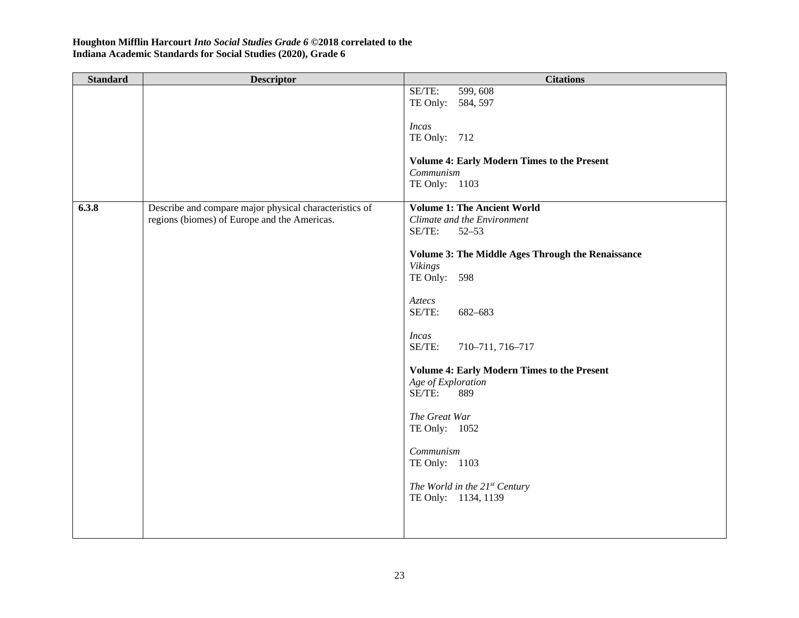| <b>Standard</b> | <b>Descriptor</b>                                      | <b>Citations</b>                                                |
|-----------------|--------------------------------------------------------|-----------------------------------------------------------------|
|                 |                                                        | 599, 608<br>SE/TE:                                              |
|                 |                                                        | TE Only: 584, 597                                               |
|                 |                                                        |                                                                 |
|                 |                                                        | <b>Incas</b>                                                    |
|                 |                                                        | TE Only: 712                                                    |
|                 |                                                        |                                                                 |
|                 |                                                        | <b>Volume 4: Early Modern Times to the Present</b><br>Communism |
|                 |                                                        | TE Only: 1103                                                   |
|                 |                                                        |                                                                 |
| 6.3.8           | Describe and compare major physical characteristics of | <b>Volume 1: The Ancient World</b>                              |
|                 | regions (biomes) of Europe and the Americas.           | Climate and the Environment                                     |
|                 |                                                        | SE/TE:<br>$52 - 53$                                             |
|                 |                                                        |                                                                 |
|                 |                                                        | <b>Volume 3: The Middle Ages Through the Renaissance</b>        |
|                 |                                                        | <b>Vikings</b>                                                  |
|                 |                                                        | TE Only: 598                                                    |
|                 |                                                        |                                                                 |
|                 |                                                        | Aztecs                                                          |
|                 |                                                        | SE/TE:<br>682-683                                               |
|                 |                                                        |                                                                 |
|                 |                                                        | <b>Incas</b><br>SE/TE:<br>710-711, 716-717                      |
|                 |                                                        |                                                                 |
|                 |                                                        | <b>Volume 4: Early Modern Times to the Present</b>              |
|                 |                                                        | Age of Exploration                                              |
|                 |                                                        | SE/TE:<br>889                                                   |
|                 |                                                        |                                                                 |
|                 |                                                        | The Great War                                                   |
|                 |                                                        | TE Only: 1052                                                   |
|                 |                                                        |                                                                 |
|                 |                                                        | Communism                                                       |
|                 |                                                        | TE Only: 1103                                                   |
|                 |                                                        |                                                                 |
|                 |                                                        | The World in the 21st Century                                   |
|                 |                                                        | TE Only: 1134, 1139                                             |
|                 |                                                        |                                                                 |
|                 |                                                        |                                                                 |
|                 |                                                        |                                                                 |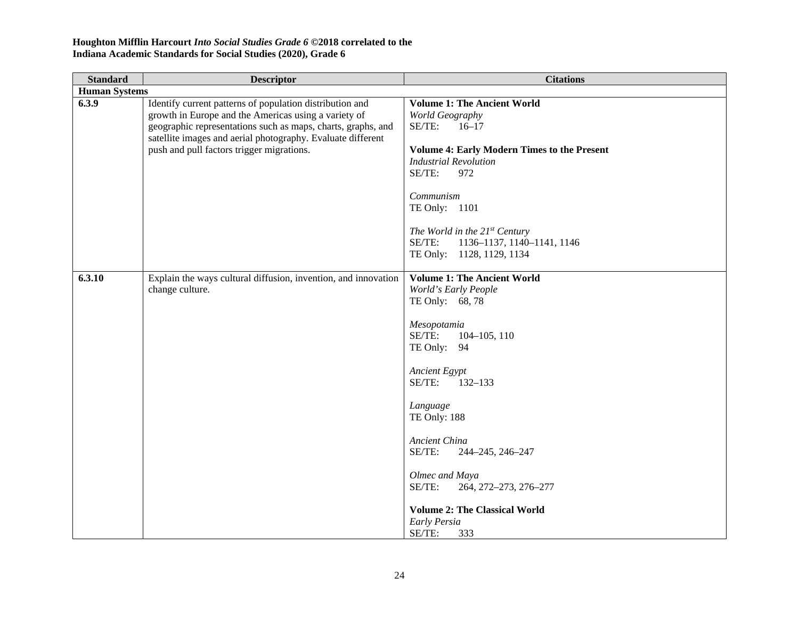| <b>Standard</b>      | <b>Descriptor</b>                                                                                                                                                                                                                                                                            | <b>Citations</b>                                                                                                                                                                                                                                                                                                                                                                              |
|----------------------|----------------------------------------------------------------------------------------------------------------------------------------------------------------------------------------------------------------------------------------------------------------------------------------------|-----------------------------------------------------------------------------------------------------------------------------------------------------------------------------------------------------------------------------------------------------------------------------------------------------------------------------------------------------------------------------------------------|
| <b>Human Systems</b> |                                                                                                                                                                                                                                                                                              |                                                                                                                                                                                                                                                                                                                                                                                               |
| 6.3.9                | Identify current patterns of population distribution and<br>growth in Europe and the Americas using a variety of<br>geographic representations such as maps, charts, graphs, and<br>satellite images and aerial photography. Evaluate different<br>push and pull factors trigger migrations. | <b>Volume 1: The Ancient World</b><br>World Geography<br>SE/TE:<br>$16 - 17$<br><b>Volume 4: Early Modern Times to the Present</b><br><b>Industrial Revolution</b><br>SE/TE:<br>972<br>Communism<br>TE Only: 1101<br>The World in the 21st Century<br>SE/TE:<br>1136-1137, 1140-1141, 1146<br>TE Only: 1128, 1129, 1134                                                                       |
| 6.3.10               | Explain the ways cultural diffusion, invention, and innovation<br>change culture.                                                                                                                                                                                                            | <b>Volume 1: The Ancient World</b><br>World's Early People<br>TE Only: 68, 78<br>Mesopotamia<br>SE/TE:<br>$104 - 105$ , 110<br>TE Only: 94<br>Ancient Egypt<br>SE/TE:<br>$132 - 133$<br>Language<br>TE Only: 188<br>Ancient China<br>SE/TE:<br>244-245, 246-247<br>Olmec and Maya<br>SE/TE:<br>264, 272-273, 276-277<br><b>Volume 2: The Classical World</b><br>Early Persia<br>SE/TE:<br>333 |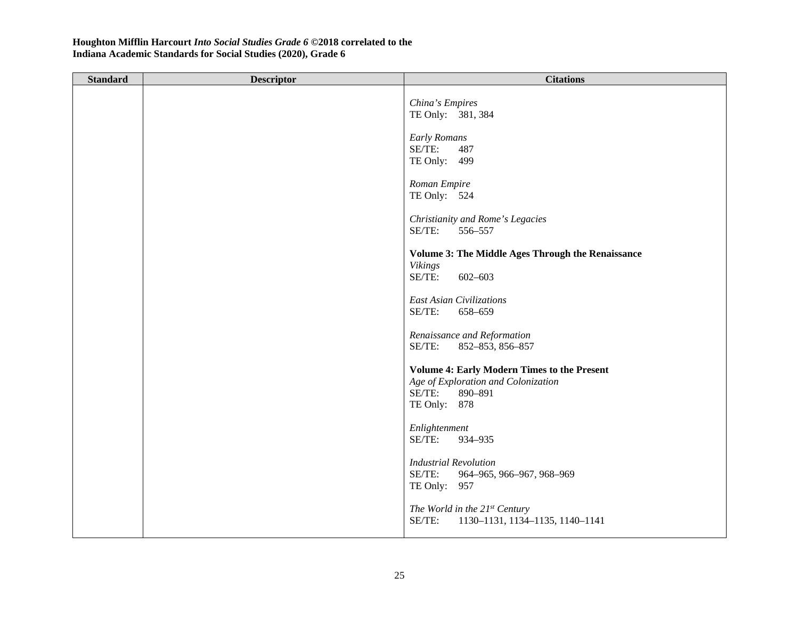| <b>Standard</b> | <b>Descriptor</b> | <b>Citations</b>                                                                                                               |
|-----------------|-------------------|--------------------------------------------------------------------------------------------------------------------------------|
|                 |                   | China's Empires<br>TE Only: 381, 384                                                                                           |
|                 |                   | <b>Early Romans</b><br>SE/TE:<br>487<br>TE Only: 499                                                                           |
|                 |                   | Roman Empire<br>TE Only: 524                                                                                                   |
|                 |                   | Christianity and Rome's Legacies<br>SE/TE:<br>556-557                                                                          |
|                 |                   | <b>Volume 3: The Middle Ages Through the Renaissance</b><br>Vikings<br>SE/TE:<br>$602 - 603$                                   |
|                 |                   | <b>East Asian Civilizations</b><br>SE/TE:<br>658-659                                                                           |
|                 |                   | Renaissance and Reformation<br>SE/TE:<br>852-853, 856-857                                                                      |
|                 |                   | <b>Volume 4: Early Modern Times to the Present</b><br>Age of Exploration and Colonization<br>SE/TE:<br>890-891<br>TE Only: 878 |
|                 |                   | Enlightenment<br>SE/TE:<br>934-935                                                                                             |
|                 |                   | <b>Industrial Revolution</b><br>SE/TE:<br>964-965, 966-967, 968-969<br>TE Only: 957                                            |
|                 |                   | The World in the $21^{st}$ Century<br>SE/TE:<br>1130-1131, 1134-1135, 1140-1141                                                |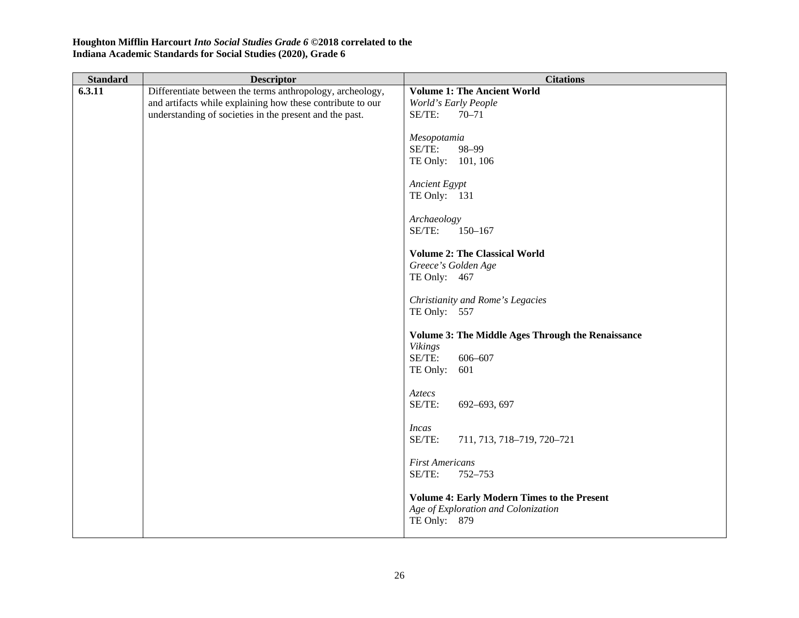| <b>Standard</b> | <b>Descriptor</b>                                          | <b>Citations</b>                                         |
|-----------------|------------------------------------------------------------|----------------------------------------------------------|
| 6.3.11          | Differentiate between the terms anthropology, archeology,  | <b>Volume 1: The Ancient World</b>                       |
|                 | and artifacts while explaining how these contribute to our | World's Early People                                     |
|                 | understanding of societies in the present and the past.    | SE/TE:<br>$70 - 71$                                      |
|                 |                                                            | Mesopotamia                                              |
|                 |                                                            | SE/TE:<br>98-99                                          |
|                 |                                                            | TE Only: 101, 106                                        |
|                 |                                                            |                                                          |
|                 |                                                            | <b>Ancient Egypt</b>                                     |
|                 |                                                            | TE Only: 131                                             |
|                 |                                                            |                                                          |
|                 |                                                            | Archaeology<br>SE/TE:<br>$150 - 167$                     |
|                 |                                                            |                                                          |
|                 |                                                            | <b>Volume 2: The Classical World</b>                     |
|                 |                                                            | Greece's Golden Age                                      |
|                 |                                                            | TE Only: 467                                             |
|                 |                                                            |                                                          |
|                 |                                                            | Christianity and Rome's Legacies                         |
|                 |                                                            | TE Only: 557                                             |
|                 |                                                            | <b>Volume 3: The Middle Ages Through the Renaissance</b> |
|                 |                                                            | Vikings                                                  |
|                 |                                                            | SE/TE:<br>606-607                                        |
|                 |                                                            | TE Only:<br>601                                          |
|                 |                                                            |                                                          |
|                 |                                                            | Aztecs<br>SE/TE:<br>692-693, 697                         |
|                 |                                                            |                                                          |
|                 |                                                            | <b>Incas</b>                                             |
|                 |                                                            | SE/TE:<br>711, 713, 718-719, 720-721                     |
|                 |                                                            |                                                          |
|                 |                                                            | <b>First Americans</b>                                   |
|                 |                                                            | SE/TE:<br>752-753                                        |
|                 |                                                            | <b>Volume 4: Early Modern Times to the Present</b>       |
|                 |                                                            | Age of Exploration and Colonization                      |
|                 |                                                            | TE Only: 879                                             |
|                 |                                                            |                                                          |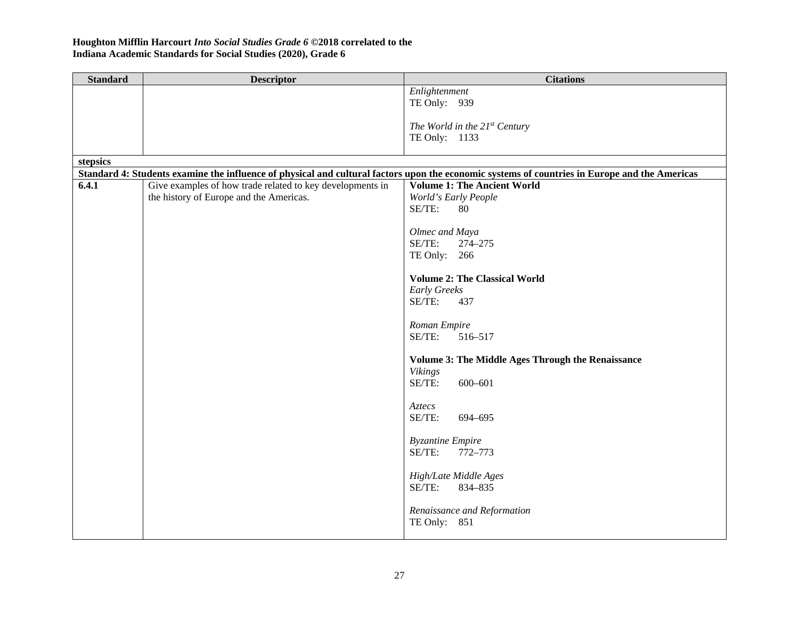| <b>Standard</b> | <b>Descriptor</b>                                         | <b>Citations</b>                                                                                                                              |
|-----------------|-----------------------------------------------------------|-----------------------------------------------------------------------------------------------------------------------------------------------|
|                 |                                                           | Enlightenment                                                                                                                                 |
|                 |                                                           | TE Only: 939                                                                                                                                  |
|                 |                                                           |                                                                                                                                               |
|                 |                                                           | The World in the 21st Century                                                                                                                 |
|                 |                                                           | TE Only: 1133                                                                                                                                 |
|                 |                                                           |                                                                                                                                               |
| stepsics        |                                                           |                                                                                                                                               |
|                 |                                                           | Standard 4: Students examine the influence of physical and cultural factors upon the economic systems of countries in Europe and the Americas |
| 6.4.1           | Give examples of how trade related to key developments in | <b>Volume 1: The Ancient World</b>                                                                                                            |
|                 | the history of Europe and the Americas.                   | World's Early People                                                                                                                          |
|                 |                                                           | SE/TE:<br>80                                                                                                                                  |
|                 |                                                           |                                                                                                                                               |
|                 |                                                           | Olmec and Maya                                                                                                                                |
|                 |                                                           | SE/TE:<br>274-275                                                                                                                             |
|                 |                                                           | TE Only: 266                                                                                                                                  |
|                 |                                                           |                                                                                                                                               |
|                 |                                                           | <b>Volume 2: The Classical World</b>                                                                                                          |
|                 |                                                           | Early Greeks                                                                                                                                  |
|                 |                                                           | SE/TE:<br>437                                                                                                                                 |
|                 |                                                           |                                                                                                                                               |
|                 |                                                           | Roman Empire                                                                                                                                  |
|                 |                                                           | SE/TE:<br>516-517                                                                                                                             |
|                 |                                                           |                                                                                                                                               |
|                 |                                                           | <b>Volume 3: The Middle Ages Through the Renaissance</b>                                                                                      |
|                 |                                                           | <b>Vikings</b><br>SE/TE:                                                                                                                      |
|                 |                                                           | 600-601                                                                                                                                       |
|                 |                                                           | Aztecs                                                                                                                                        |
|                 |                                                           | SE/TE:<br>694-695                                                                                                                             |
|                 |                                                           |                                                                                                                                               |
|                 |                                                           | <b>Byzantine Empire</b>                                                                                                                       |
|                 |                                                           | SE/TE:<br>772-773                                                                                                                             |
|                 |                                                           |                                                                                                                                               |
|                 |                                                           | High/Late Middle Ages                                                                                                                         |
|                 |                                                           | SE/TE:<br>834-835                                                                                                                             |
|                 |                                                           |                                                                                                                                               |
|                 |                                                           | Renaissance and Reformation                                                                                                                   |
|                 |                                                           | TE Only: 851                                                                                                                                  |
|                 |                                                           |                                                                                                                                               |
|                 |                                                           |                                                                                                                                               |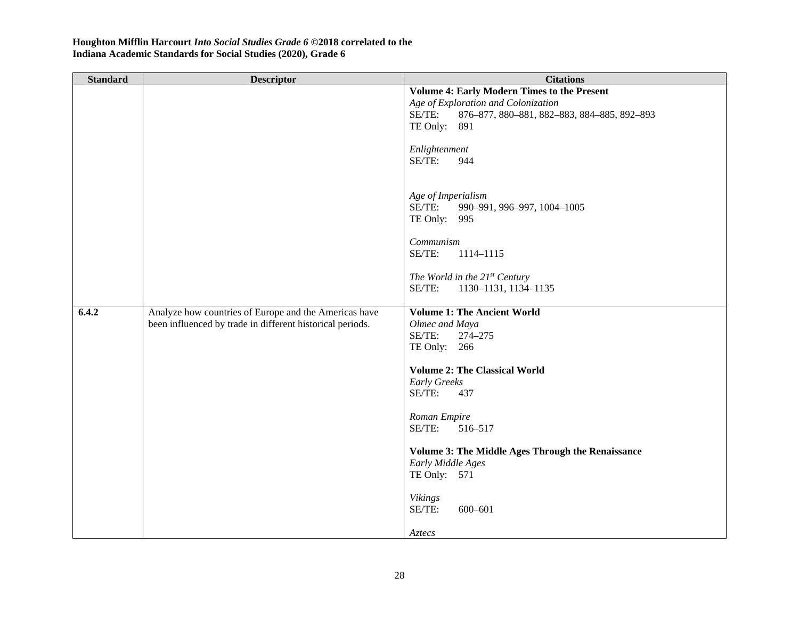| <b>Standard</b> | <b>Descriptor</b>                                         | <b>Citations</b>                                         |
|-----------------|-----------------------------------------------------------|----------------------------------------------------------|
|                 |                                                           | <b>Volume 4: Early Modern Times to the Present</b>       |
|                 |                                                           | Age of Exploration and Colonization                      |
|                 |                                                           | SE/TE:<br>876-877, 880-881, 882-883, 884-885, 892-893    |
|                 |                                                           | TE Only: 891                                             |
|                 |                                                           |                                                          |
|                 |                                                           | Enlightenment                                            |
|                 |                                                           | SE/TE:<br>944                                            |
|                 |                                                           |                                                          |
|                 |                                                           |                                                          |
|                 |                                                           | Age of Imperialism                                       |
|                 |                                                           | SE/TE:<br>990-991, 996-997, 1004-1005                    |
|                 |                                                           | TE Only: 995                                             |
|                 |                                                           |                                                          |
|                 |                                                           | Communism                                                |
|                 |                                                           | SE/TE:<br>1114-1115                                      |
|                 |                                                           |                                                          |
|                 |                                                           | The World in the 21st Century<br>SE/TE:                  |
|                 |                                                           | 1130-1131, 1134-1135                                     |
| 6.4.2           | Analyze how countries of Europe and the Americas have     | <b>Volume 1: The Ancient World</b>                       |
|                 | been influenced by trade in different historical periods. | Olmec and Maya                                           |
|                 |                                                           | SE/TE:<br>274-275                                        |
|                 |                                                           | TE Only: 266                                             |
|                 |                                                           |                                                          |
|                 |                                                           | <b>Volume 2: The Classical World</b>                     |
|                 |                                                           | <b>Early Greeks</b>                                      |
|                 |                                                           | SE/TE:<br>437                                            |
|                 |                                                           |                                                          |
|                 |                                                           | Roman Empire                                             |
|                 |                                                           | SE/TE:<br>516-517                                        |
|                 |                                                           |                                                          |
|                 |                                                           | <b>Volume 3: The Middle Ages Through the Renaissance</b> |
|                 |                                                           | Early Middle Ages<br>TE Only: 571                        |
|                 |                                                           |                                                          |
|                 |                                                           | <b>Vikings</b>                                           |
|                 |                                                           | SE/TE:<br>600-601                                        |
|                 |                                                           |                                                          |
|                 |                                                           | Aztecs                                                   |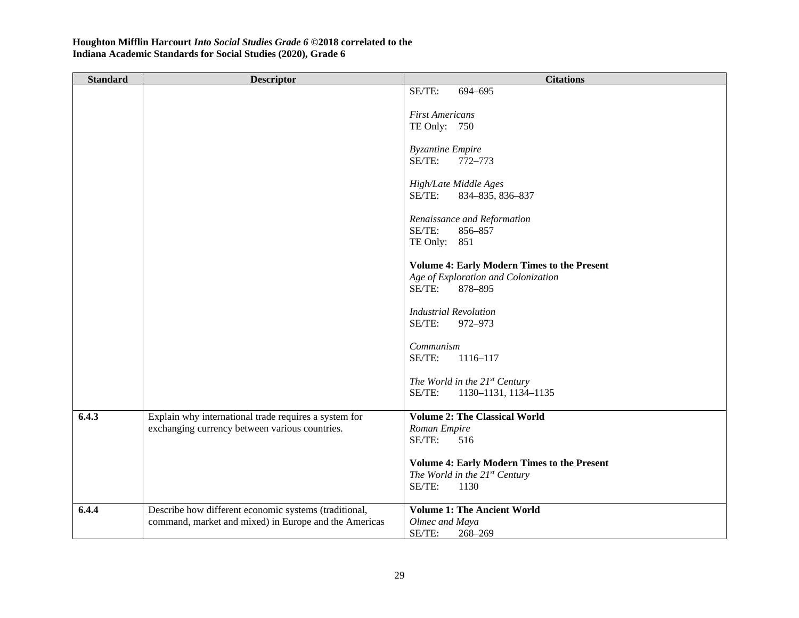| SE/TE:<br>694-695<br><b>First Americans</b><br>TE Only: 750                                            |  |
|--------------------------------------------------------------------------------------------------------|--|
|                                                                                                        |  |
|                                                                                                        |  |
|                                                                                                        |  |
|                                                                                                        |  |
| <b>Byzantine Empire</b><br>SE/TE:<br>772-773                                                           |  |
|                                                                                                        |  |
| High/Late Middle Ages                                                                                  |  |
| SE/TE:<br>834-835, 836-837                                                                             |  |
| Renaissance and Reformation                                                                            |  |
| SE/TE:<br>856-857                                                                                      |  |
| TE Only: 851                                                                                           |  |
| <b>Volume 4: Early Modern Times to the Present</b>                                                     |  |
| Age of Exploration and Colonization                                                                    |  |
| SE/TE:<br>878-895                                                                                      |  |
| <b>Industrial Revolution</b>                                                                           |  |
| SE/TE:<br>972-973                                                                                      |  |
| Communism                                                                                              |  |
| SE/TE:<br>1116-117                                                                                     |  |
|                                                                                                        |  |
| The World in the $21^{st}$ Century<br>SE/TE:<br>1130-1131, 1134-1135                                   |  |
|                                                                                                        |  |
| 6.4.3<br>Explain why international trade requires a system for<br><b>Volume 2: The Classical World</b> |  |
| exchanging currency between various countries.<br>Roman Empire<br>SE/TE:<br>516                        |  |
|                                                                                                        |  |
| <b>Volume 4: Early Modern Times to the Present</b>                                                     |  |
| The World in the $21^{st}$ Century<br>SE/TE:<br>1130                                                   |  |
|                                                                                                        |  |
| Describe how different economic systems (traditional,<br><b>Volume 1: The Ancient World</b><br>6.4.4   |  |
| command, market and mixed) in Europe and the Americas<br>Olmec and Maya<br>SE/TE:<br>268-269           |  |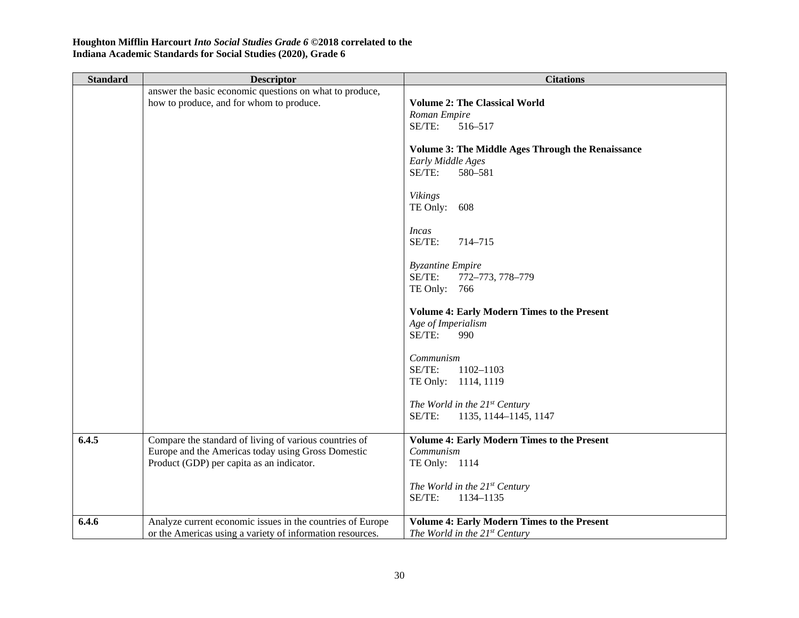| <b>Standard</b> | <b>Descriptor</b>                                                                                                                                         | <b>Citations</b>                                                                                      |
|-----------------|-----------------------------------------------------------------------------------------------------------------------------------------------------------|-------------------------------------------------------------------------------------------------------|
|                 | answer the basic economic questions on what to produce,<br>how to produce, and for whom to produce.                                                       | <b>Volume 2: The Classical World</b><br>Roman Empire<br>SE/TE:<br>516-517                             |
|                 |                                                                                                                                                           | <b>Volume 3: The Middle Ages Through the Renaissance</b><br>Early Middle Ages<br>$SE/TE$ :<br>580-581 |
|                 |                                                                                                                                                           | <b>Vikings</b><br>TE Only: $608$                                                                      |
|                 |                                                                                                                                                           | Incas<br>SE/TE:<br>714-715                                                                            |
|                 |                                                                                                                                                           | <b>Byzantine Empire</b><br>SE/TE:<br>772-773, 778-779<br>TE Only: $766$                               |
|                 |                                                                                                                                                           | <b>Volume 4: Early Modern Times to the Present</b><br>Age of Imperialism<br>SE/TE:<br>990             |
|                 |                                                                                                                                                           | Communism<br>SE/TE:<br>1102-1103<br>TE Only: 1114, 1119                                               |
|                 |                                                                                                                                                           | The World in the $21^{st}$ Century<br>SE/TE:<br>1135, 1144-1145, 1147                                 |
| 6.4.5           | Compare the standard of living of various countries of<br>Europe and the Americas today using Gross Domestic<br>Product (GDP) per capita as an indicator. | <b>Volume 4: Early Modern Times to the Present</b><br>Communism<br>TE Only: 1114                      |
|                 |                                                                                                                                                           | The World in the $21^{st}$ Century<br>SE/TE:<br>1134-1135                                             |
| 6.4.6           | Analyze current economic issues in the countries of Europe<br>or the Americas using a variety of information resources.                                   | <b>Volume 4: Early Modern Times to the Present</b><br>The World in the $21^{st}$ Century              |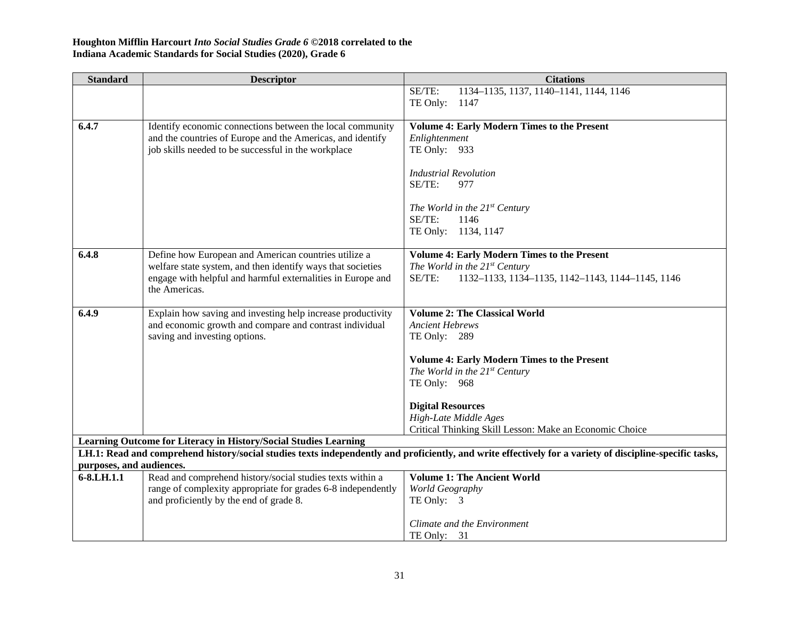| <b>Standard</b>          | <b>Descriptor</b>                                                | <b>Citations</b>                                                                                                                                         |
|--------------------------|------------------------------------------------------------------|----------------------------------------------------------------------------------------------------------------------------------------------------------|
|                          |                                                                  | 1134-1135, 1137, 1140-1141, 1144, 1146<br>SE/TE:                                                                                                         |
|                          |                                                                  | TE Only:<br>1147                                                                                                                                         |
|                          |                                                                  |                                                                                                                                                          |
| 6.4.7                    | Identify economic connections between the local community        | <b>Volume 4: Early Modern Times to the Present</b>                                                                                                       |
|                          | and the countries of Europe and the Americas, and identify       | Enlightenment                                                                                                                                            |
|                          | job skills needed to be successful in the workplace              | TE Only: 933                                                                                                                                             |
|                          |                                                                  | <b>Industrial Revolution</b>                                                                                                                             |
|                          |                                                                  | SE/TE:<br>977                                                                                                                                            |
|                          |                                                                  |                                                                                                                                                          |
|                          |                                                                  | The World in the 21st Century                                                                                                                            |
|                          |                                                                  | SE/TE:<br>1146                                                                                                                                           |
|                          |                                                                  | TE Only: 1134, 1147                                                                                                                                      |
|                          |                                                                  |                                                                                                                                                          |
| 6.4.8                    | Define how European and American countries utilize a             | <b>Volume 4: Early Modern Times to the Present</b>                                                                                                       |
|                          | welfare state system, and then identify ways that societies      | The World in the $21^{st}$ Century                                                                                                                       |
|                          | engage with helpful and harmful externalities in Europe and      | SE/TE:<br>1132-1133, 1134-1135, 1142-1143, 1144-1145, 1146                                                                                               |
|                          | the Americas.                                                    |                                                                                                                                                          |
|                          |                                                                  |                                                                                                                                                          |
| 6.4.9                    | Explain how saving and investing help increase productivity      | <b>Volume 2: The Classical World</b>                                                                                                                     |
|                          | and economic growth and compare and contrast individual          | <b>Ancient Hebrews</b>                                                                                                                                   |
|                          | saving and investing options.                                    | TE Only: 289                                                                                                                                             |
|                          |                                                                  | <b>Volume 4: Early Modern Times to the Present</b>                                                                                                       |
|                          |                                                                  | The World in the $21^{st}$ Century                                                                                                                       |
|                          |                                                                  | TE Only: 968                                                                                                                                             |
|                          |                                                                  |                                                                                                                                                          |
|                          |                                                                  | <b>Digital Resources</b>                                                                                                                                 |
|                          |                                                                  | High-Late Middle Ages                                                                                                                                    |
|                          |                                                                  | Critical Thinking Skill Lesson: Make an Economic Choice                                                                                                  |
|                          | Learning Outcome for Literacy in History/Social Studies Learning |                                                                                                                                                          |
|                          |                                                                  | LH.1: Read and comprehend history/social studies texts independently and proficiently, and write effectively for a variety of discipline-specific tasks, |
| purposes, and audiences. |                                                                  |                                                                                                                                                          |
| 6-8.LH.1.1               | Read and comprehend history/social studies texts within a        | <b>Volume 1: The Ancient World</b>                                                                                                                       |
|                          | range of complexity appropriate for grades 6-8 independently     | World Geography                                                                                                                                          |
|                          | and proficiently by the end of grade 8.                          | TE Only: 3                                                                                                                                               |
|                          |                                                                  | Climate and the Environment                                                                                                                              |
|                          |                                                                  | TE Only: $31$                                                                                                                                            |
|                          |                                                                  |                                                                                                                                                          |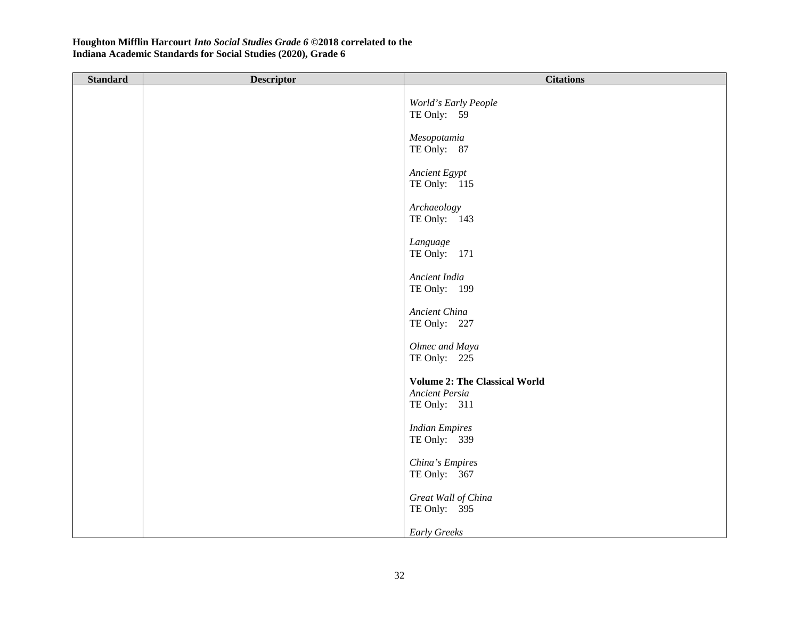| <b>Standard</b> | <b>Descriptor</b> | <b>Citations</b>                      |
|-----------------|-------------------|---------------------------------------|
|                 |                   | World's Early People<br>TE Only: 59   |
|                 |                   | Mesopotamia<br>TE Only: 87            |
|                 |                   | Ancient Egypt<br>TE Only: 115         |
|                 |                   | Archaeology<br>TE Only: 143           |
|                 |                   | Language<br>TE Only: 171              |
|                 |                   | Ancient India<br>TE Only: 199         |
|                 |                   | Ancient China<br>TE Only: 227         |
|                 |                   | Olmec and Maya<br>TE Only: 225        |
|                 |                   | <b>Volume 2: The Classical World</b>  |
|                 |                   | Ancient Persia<br>TE Only: 311        |
|                 |                   | <b>Indian Empires</b><br>TE Only: 339 |
|                 |                   | China's Empires<br>TE Only: 367       |
|                 |                   | Great Wall of China<br>TE Only: 395   |
|                 |                   | <b>Early Greeks</b>                   |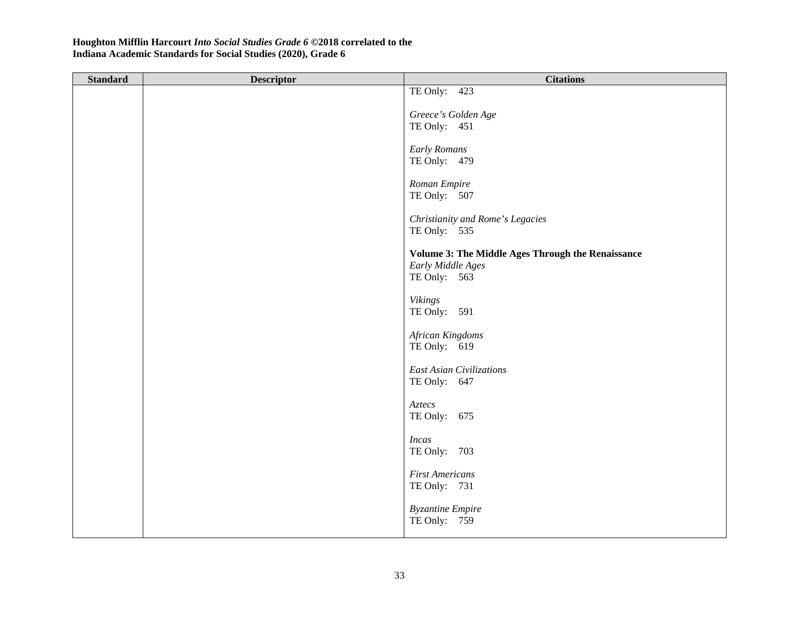| <b>Standard</b> | <b>Descriptor</b> | <b>Citations</b>                                                                       |
|-----------------|-------------------|----------------------------------------------------------------------------------------|
|                 |                   | TE Only: $423$                                                                         |
|                 |                   | Greece's Golden Age                                                                    |
|                 |                   | TE Only: 451                                                                           |
|                 |                   | <b>Early Romans</b><br>TE Only: 479                                                    |
|                 |                   | Roman Empire<br>TE Only: 507                                                           |
|                 |                   | Christianity and Rome's Legacies<br>TE Only: 535                                       |
|                 |                   | Volume 3: The Middle Ages Through the Renaissance<br>Early Middle Ages<br>TE Only: 563 |
|                 |                   | <b>Vikings</b><br>TE Only: 591                                                         |
|                 |                   | African Kingdoms<br>TE Only: 619                                                       |
|                 |                   | <b>East Asian Civilizations</b><br>TE Only: 647                                        |
|                 |                   | Aztecs<br>TE Only: $675$                                                               |
|                 |                   | <b>Incas</b><br>TE Only: 703                                                           |
|                 |                   | <b>First Americans</b><br>TE Only: 731                                                 |
|                 |                   | <b>Byzantine Empire</b><br>TE Only: 759                                                |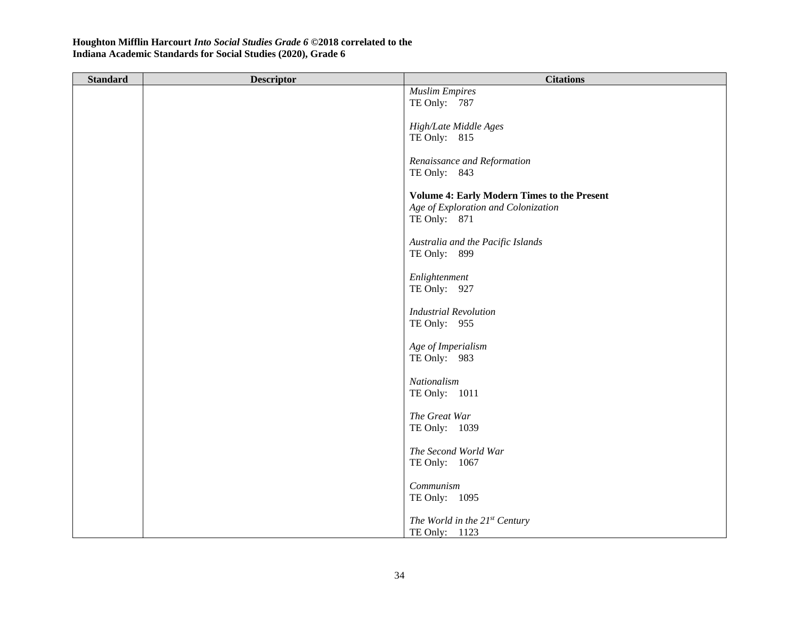| <b>Muslim Empires</b><br>TE Only: 787<br>High/Late Middle Ages |  |
|----------------------------------------------------------------|--|
|                                                                |  |
|                                                                |  |
|                                                                |  |
|                                                                |  |
| TE Only: 815                                                   |  |
| Renaissance and Reformation                                    |  |
| TE Only: 843                                                   |  |
|                                                                |  |
| <b>Volume 4: Early Modern Times to the Present</b>             |  |
| Age of Exploration and Colonization                            |  |
| TE Only: 871                                                   |  |
|                                                                |  |
| Australia and the Pacific Islands                              |  |
| TE Only: 899                                                   |  |
|                                                                |  |
| Enlightenment<br>TE Only: 927                                  |  |
|                                                                |  |
| <b>Industrial Revolution</b>                                   |  |
| TE Only: 955                                                   |  |
|                                                                |  |
| Age of Imperialism                                             |  |
| TE Only: 983                                                   |  |
|                                                                |  |
| Nationalism                                                    |  |
| TE Only: 1011                                                  |  |
| The Great War                                                  |  |
| TE Only: 1039                                                  |  |
|                                                                |  |
| The Second World War                                           |  |
| TE Only: 1067                                                  |  |
|                                                                |  |
| Communism                                                      |  |
| TE Only: 1095                                                  |  |
|                                                                |  |
| The World in the 21st Century<br>TE Only: 1123                 |  |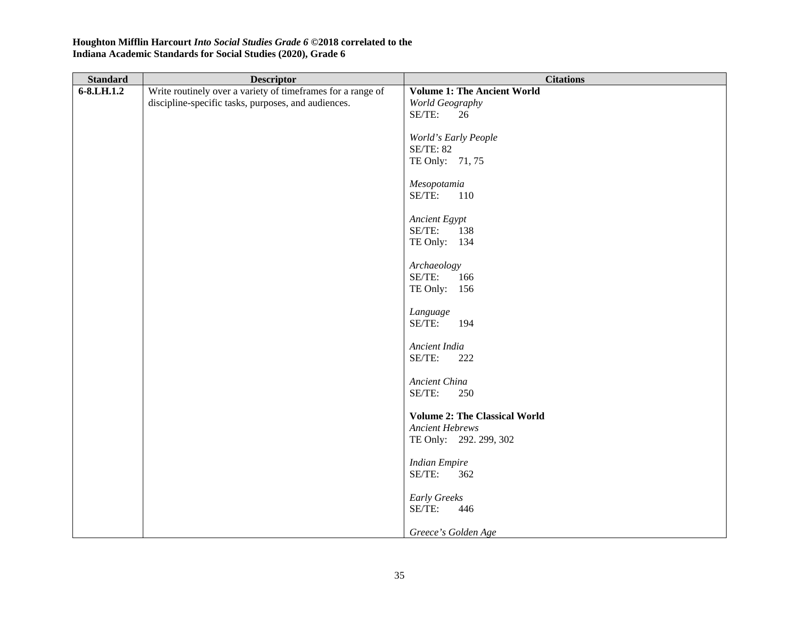| <b>Standard</b> | <b>Descriptor</b>                                           | <b>Citations</b>                     |
|-----------------|-------------------------------------------------------------|--------------------------------------|
| $6 - 8$ .LH.1.2 | Write routinely over a variety of timeframes for a range of | <b>Volume 1: The Ancient World</b>   |
|                 | discipline-specific tasks, purposes, and audiences.         | World Geography                      |
|                 |                                                             | SE/TE:<br>26                         |
|                 |                                                             |                                      |
|                 |                                                             | World's Early People                 |
|                 |                                                             | <b>SE/TE: 82</b>                     |
|                 |                                                             | TE Only: 71, 75                      |
|                 |                                                             |                                      |
|                 |                                                             | Mesopotamia                          |
|                 |                                                             | SE/TE:<br>110                        |
|                 |                                                             | Ancient Egypt                        |
|                 |                                                             | SE/TE:<br>138                        |
|                 |                                                             | TE Only: 134                         |
|                 |                                                             |                                      |
|                 |                                                             | Archaeology                          |
|                 |                                                             | SE/TE:<br>166                        |
|                 |                                                             | TE Only: $156$                       |
|                 |                                                             |                                      |
|                 |                                                             | Language                             |
|                 |                                                             | SE/TE:<br>194                        |
|                 |                                                             |                                      |
|                 |                                                             | Ancient India                        |
|                 |                                                             | SE/TE:<br>222                        |
|                 |                                                             | Ancient China                        |
|                 |                                                             | SE/TE:<br>250                        |
|                 |                                                             |                                      |
|                 |                                                             | <b>Volume 2: The Classical World</b> |
|                 |                                                             | <b>Ancient Hebrews</b>               |
|                 |                                                             | TE Only: 292. 299, 302               |
|                 |                                                             |                                      |
|                 |                                                             | <b>Indian Empire</b>                 |
|                 |                                                             | SE/TE:<br>362                        |
|                 |                                                             |                                      |
|                 |                                                             | <b>Early Greeks</b>                  |
|                 |                                                             | SE/TE:<br>446                        |
|                 |                                                             |                                      |
|                 |                                                             | Greece's Golden Age                  |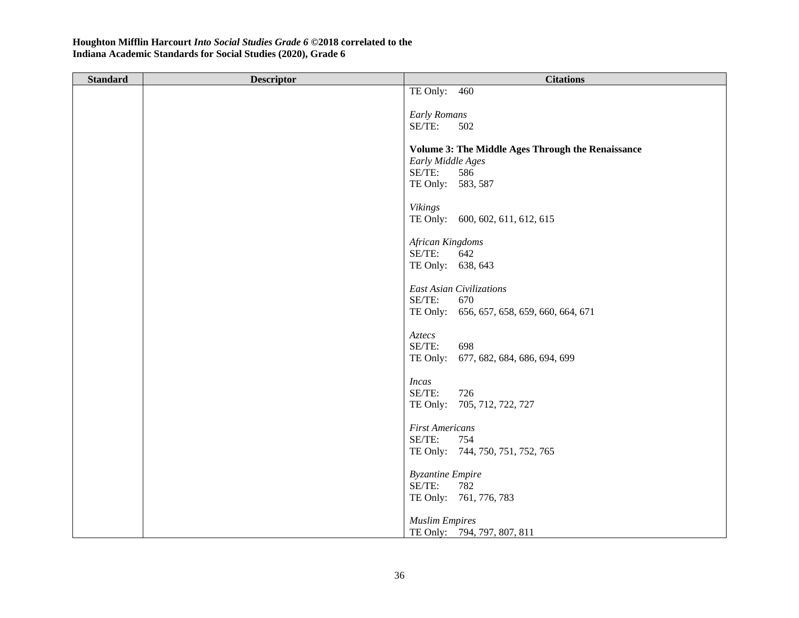| <b>Standard</b> | <b>Descriptor</b> | <b>Citations</b>                                         |
|-----------------|-------------------|----------------------------------------------------------|
|                 |                   | TE Only: 460                                             |
|                 |                   |                                                          |
|                 |                   | <b>Early Romans</b>                                      |
|                 |                   | SE/TE:<br>502                                            |
|                 |                   |                                                          |
|                 |                   | <b>Volume 3: The Middle Ages Through the Renaissance</b> |
|                 |                   | Early Middle Ages                                        |
|                 |                   | SE/TE:<br>586                                            |
|                 |                   | TE Only: 583, 587                                        |
|                 |                   |                                                          |
|                 |                   | <b>Vikings</b>                                           |
|                 |                   | TE Only: 600, 602, 611, 612, 615                         |
|                 |                   |                                                          |
|                 |                   | African Kingdoms                                         |
|                 |                   | SE/TE:<br>642                                            |
|                 |                   | TE Only: 638, 643                                        |
|                 |                   | East Asian Civilizations                                 |
|                 |                   | SE/TE:<br>670                                            |
|                 |                   | TE Only: 656, 657, 658, 659, 660, 664, 671               |
|                 |                   |                                                          |
|                 |                   | Aztecs                                                   |
|                 |                   | SE/TE:<br>698                                            |
|                 |                   | TE Only:<br>677, 682, 684, 686, 694, 699                 |
|                 |                   |                                                          |
|                 |                   | <b>Incas</b>                                             |
|                 |                   | SE/TE:<br>726                                            |
|                 |                   | TE Only: 705, 712, 722, 727                              |
|                 |                   |                                                          |
|                 |                   | <b>First Americans</b>                                   |
|                 |                   | SE/TE:<br>754                                            |
|                 |                   | TE Only: 744, 750, 751, 752, 765                         |
|                 |                   |                                                          |
|                 |                   | <b>Byzantine Empire</b>                                  |
|                 |                   | SE/TE:<br>782                                            |
|                 |                   | TE Only: 761, 776, 783                                   |
|                 |                   |                                                          |
|                 |                   | <b>Muslim Empires</b>                                    |
|                 |                   | TE Only: 794, 797, 807, 811                              |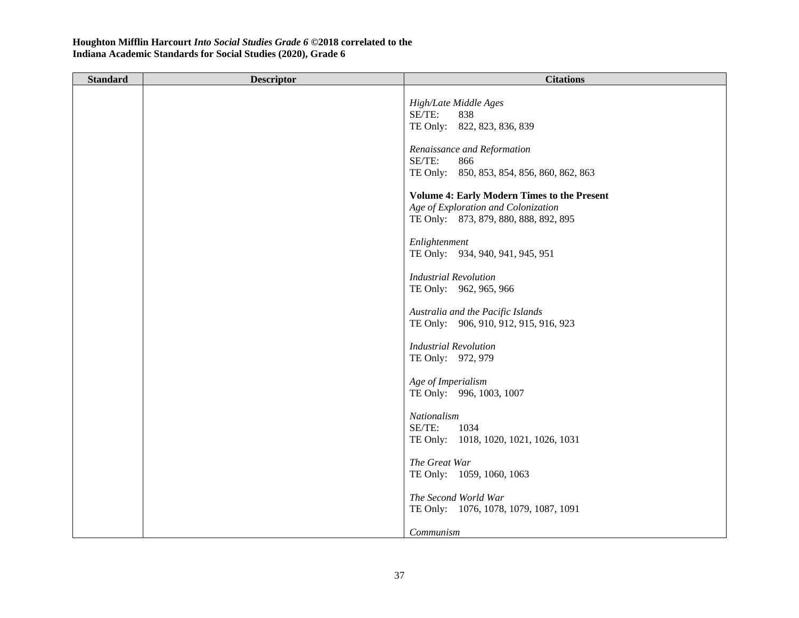| <b>Standard</b> | <b>Descriptor</b> | <b>Citations</b>                                                                                                                   |
|-----------------|-------------------|------------------------------------------------------------------------------------------------------------------------------------|
|                 |                   | High/Late Middle Ages<br>SE/TE:<br>838<br>TE Only: 822, 823, 836, 839                                                              |
|                 |                   | Renaissance and Reformation<br>SE/TE:<br>866<br>TE Only: 850, 853, 854, 856, 860, 862, 863                                         |
|                 |                   | <b>Volume 4: Early Modern Times to the Present</b><br>Age of Exploration and Colonization<br>TE Only: 873, 879, 880, 888, 892, 895 |
|                 |                   | Enlightenment<br>TE Only: 934, 940, 941, 945, 951                                                                                  |
|                 |                   | <b>Industrial Revolution</b><br>TE Only: 962, 965, 966                                                                             |
|                 |                   | Australia and the Pacific Islands<br>TE Only: 906, 910, 912, 915, 916, 923                                                         |
|                 |                   | <b>Industrial Revolution</b><br>TE Only: 972, 979                                                                                  |
|                 |                   | Age of Imperialism<br>TE Only: 996, 1003, 1007                                                                                     |
|                 |                   | Nationalism<br>SE/TE:<br>1034<br>TE Only: 1018, 1020, 1021, 1026, 1031                                                             |
|                 |                   | The Great War<br>TE Only: 1059, 1060, 1063                                                                                         |
|                 |                   | The Second World War<br>TE Only: 1076, 1078, 1079, 1087, 1091                                                                      |
|                 |                   | Communism                                                                                                                          |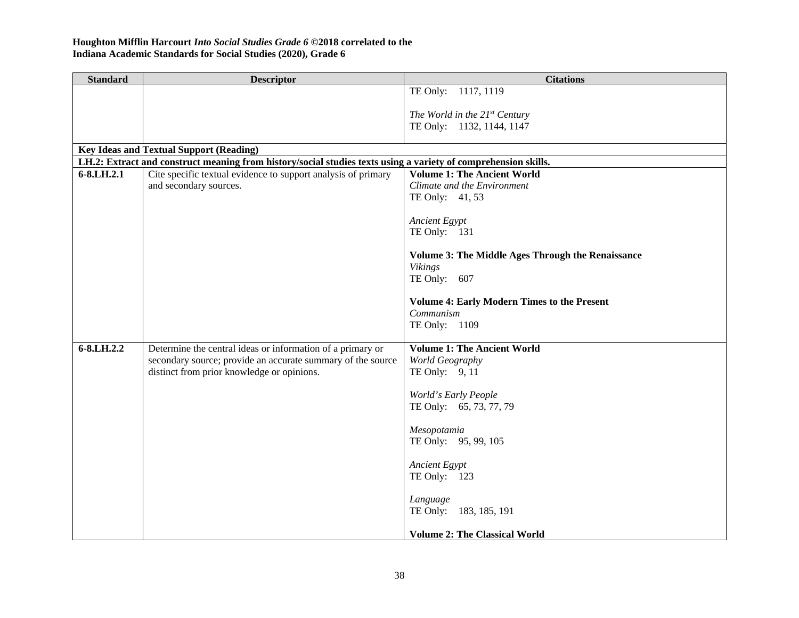| <b>Standard</b> | <b>Descriptor</b>                                                                                              | <b>Citations</b>                                           |
|-----------------|----------------------------------------------------------------------------------------------------------------|------------------------------------------------------------|
|                 |                                                                                                                | TE Only: 1117, 1119                                        |
|                 |                                                                                                                |                                                            |
|                 |                                                                                                                | The World in the 21st Century<br>TE Only: 1132, 1144, 1147 |
|                 |                                                                                                                |                                                            |
|                 | <b>Key Ideas and Textual Support (Reading)</b>                                                                 |                                                            |
|                 | LH.2: Extract and construct meaning from history/social studies texts using a variety of comprehension skills. |                                                            |
| 6-8.LH.2.1      | Cite specific textual evidence to support analysis of primary                                                  | <b>Volume 1: The Ancient World</b>                         |
|                 | and secondary sources.                                                                                         | Climate and the Environment                                |
|                 |                                                                                                                | TE Only: 41, 53                                            |
|                 |                                                                                                                | <b>Ancient Egypt</b>                                       |
|                 |                                                                                                                | TE Only: 131                                               |
|                 |                                                                                                                |                                                            |
|                 |                                                                                                                | <b>Volume 3: The Middle Ages Through the Renaissance</b>   |
|                 |                                                                                                                | <b>Vikings</b><br>TE Only: 607                             |
|                 |                                                                                                                |                                                            |
|                 |                                                                                                                | <b>Volume 4: Early Modern Times to the Present</b>         |
|                 |                                                                                                                | Communism                                                  |
|                 |                                                                                                                | TE Only: 1109                                              |
| 6-8.LH.2.2      | Determine the central ideas or information of a primary or                                                     | <b>Volume 1: The Ancient World</b>                         |
|                 | secondary source; provide an accurate summary of the source                                                    | World Geography                                            |
|                 | distinct from prior knowledge or opinions.                                                                     | TE Only: 9, 11                                             |
|                 |                                                                                                                | World's Early People                                       |
|                 |                                                                                                                | TE Only: 65, 73, 77, 79                                    |
|                 |                                                                                                                |                                                            |
|                 |                                                                                                                | Mesopotamia                                                |
|                 |                                                                                                                | TE Only: 95, 99, 105                                       |
|                 |                                                                                                                | Ancient Egypt                                              |
|                 |                                                                                                                | TE Only: 123                                               |
|                 |                                                                                                                |                                                            |
|                 |                                                                                                                | Language                                                   |
|                 |                                                                                                                | TE Only: 183, 185, 191                                     |
|                 |                                                                                                                | <b>Volume 2: The Classical World</b>                       |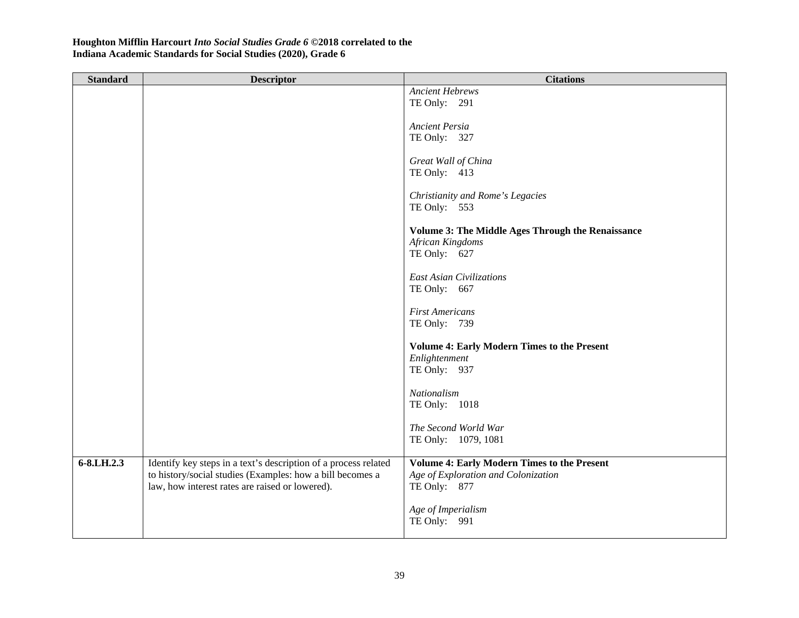| <b>Standard</b> | <b>Descriptor</b>                                               | <b>Citations</b>                                         |
|-----------------|-----------------------------------------------------------------|----------------------------------------------------------|
|                 |                                                                 | <b>Ancient Hebrews</b>                                   |
|                 |                                                                 | TE Only: 291                                             |
|                 |                                                                 | <b>Ancient Persia</b>                                    |
|                 |                                                                 | TE Only: 327                                             |
|                 |                                                                 |                                                          |
|                 |                                                                 | Great Wall of China                                      |
|                 |                                                                 | TE Only: 413                                             |
|                 |                                                                 | Christianity and Rome's Legacies                         |
|                 |                                                                 | TE Only: 553                                             |
|                 |                                                                 |                                                          |
|                 |                                                                 | <b>Volume 3: The Middle Ages Through the Renaissance</b> |
|                 |                                                                 | African Kingdoms<br>TE Only: 627                         |
|                 |                                                                 |                                                          |
|                 |                                                                 | <b>East Asian Civilizations</b>                          |
|                 |                                                                 | TE Only: 667                                             |
|                 |                                                                 | <b>First Americans</b>                                   |
|                 |                                                                 | TE Only: 739                                             |
|                 |                                                                 |                                                          |
|                 |                                                                 | <b>Volume 4: Early Modern Times to the Present</b>       |
|                 |                                                                 | Enlightenment                                            |
|                 |                                                                 | TE Only: 937                                             |
|                 |                                                                 | Nationalism                                              |
|                 |                                                                 | TE Only: 1018                                            |
|                 |                                                                 |                                                          |
|                 |                                                                 | The Second World War                                     |
|                 |                                                                 | TE Only: 1079, 1081                                      |
| 6-8.LH.2.3      | Identify key steps in a text's description of a process related | <b>Volume 4: Early Modern Times to the Present</b>       |
|                 | to history/social studies (Examples: how a bill becomes a       | Age of Exploration and Colonization                      |
|                 | law, how interest rates are raised or lowered).                 | TE Only: 877                                             |
|                 |                                                                 | Age of Imperialism                                       |
|                 |                                                                 | TE Only: 991                                             |
|                 |                                                                 |                                                          |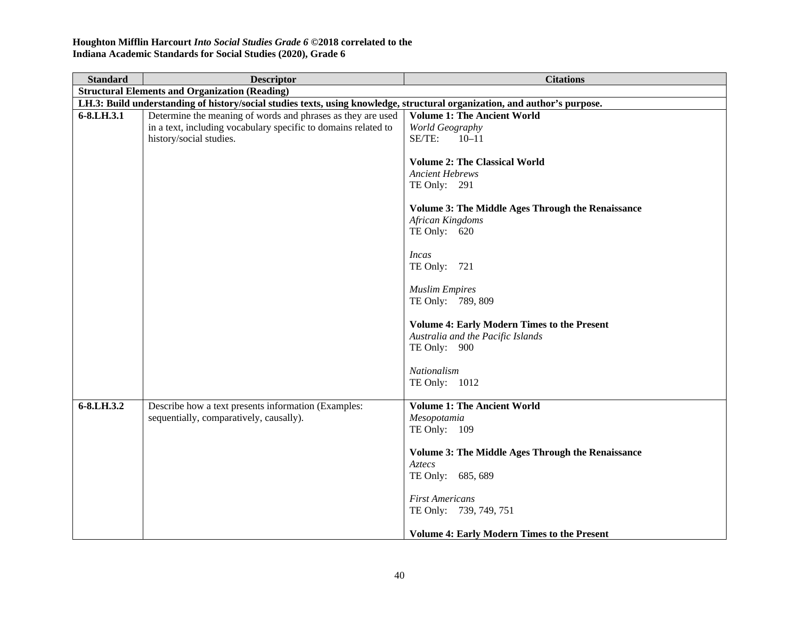| <b>Standard</b> | <b>Descriptor</b>                                                                                                          | <b>Citations</b>                                         |  |
|-----------------|----------------------------------------------------------------------------------------------------------------------------|----------------------------------------------------------|--|
|                 | <b>Structural Elements and Organization (Reading)</b>                                                                      |                                                          |  |
|                 | LH.3: Build understanding of history/social studies texts, using knowledge, structural organization, and author's purpose. |                                                          |  |
| 6-8.LH.3.1      | Determine the meaning of words and phrases as they are used                                                                | <b>Volume 1: The Ancient World</b>                       |  |
|                 | in a text, including vocabulary specific to domains related to                                                             | World Geography                                          |  |
|                 | history/social studies.                                                                                                    | SE/TE:<br>$10 - 11$                                      |  |
|                 |                                                                                                                            | <b>Volume 2: The Classical World</b>                     |  |
|                 |                                                                                                                            | <b>Ancient Hebrews</b>                                   |  |
|                 |                                                                                                                            | TE Only: 291                                             |  |
|                 |                                                                                                                            |                                                          |  |
|                 |                                                                                                                            | <b>Volume 3: The Middle Ages Through the Renaissance</b> |  |
|                 |                                                                                                                            | <b>African Kingdoms</b>                                  |  |
|                 |                                                                                                                            | TE Only: 620                                             |  |
|                 |                                                                                                                            |                                                          |  |
|                 |                                                                                                                            | Incas                                                    |  |
|                 |                                                                                                                            | TE Only: 721                                             |  |
|                 |                                                                                                                            | <b>Muslim Empires</b>                                    |  |
|                 |                                                                                                                            | TE Only: 789, 809                                        |  |
|                 |                                                                                                                            |                                                          |  |
|                 |                                                                                                                            | <b>Volume 4: Early Modern Times to the Present</b>       |  |
|                 |                                                                                                                            | Australia and the Pacific Islands                        |  |
|                 |                                                                                                                            | TE Only: 900                                             |  |
|                 |                                                                                                                            |                                                          |  |
|                 |                                                                                                                            | Nationalism                                              |  |
|                 |                                                                                                                            | TE Only: 1012                                            |  |
| 6-8.LH.3.2      | Describe how a text presents information (Examples:                                                                        | <b>Volume 1: The Ancient World</b>                       |  |
|                 | sequentially, comparatively, causally).                                                                                    | Mesopotamia                                              |  |
|                 |                                                                                                                            | TE Only: 109                                             |  |
|                 |                                                                                                                            |                                                          |  |
|                 |                                                                                                                            | <b>Volume 3: The Middle Ages Through the Renaissance</b> |  |
|                 |                                                                                                                            | Aztecs                                                   |  |
|                 |                                                                                                                            | TE Only: 685, 689                                        |  |
|                 |                                                                                                                            |                                                          |  |
|                 |                                                                                                                            | <b>First Americans</b><br>TE Only: 739, 749, 751         |  |
|                 |                                                                                                                            |                                                          |  |
|                 |                                                                                                                            | <b>Volume 4: Early Modern Times to the Present</b>       |  |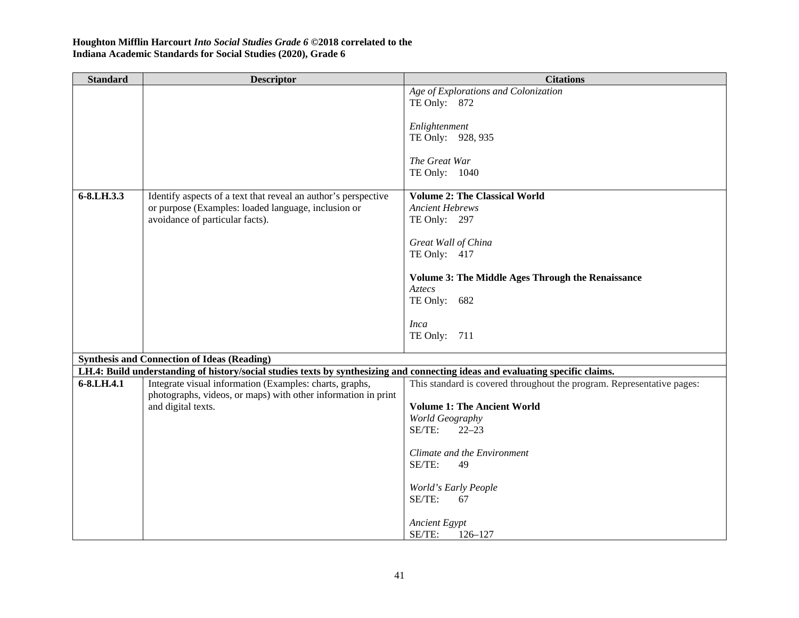| <b>Standard</b> | <b>Descriptor</b>                                                                                                              | <b>Citations</b>                                                       |
|-----------------|--------------------------------------------------------------------------------------------------------------------------------|------------------------------------------------------------------------|
|                 |                                                                                                                                | Age of Explorations and Colonization                                   |
|                 |                                                                                                                                | TE Only: 872                                                           |
|                 |                                                                                                                                | Enlightenment                                                          |
|                 |                                                                                                                                | TE Only: 928, 935                                                      |
|                 |                                                                                                                                |                                                                        |
|                 |                                                                                                                                | The Great War<br>TE Only: 1040                                         |
|                 |                                                                                                                                |                                                                        |
| 6-8.LH.3.3      | Identify aspects of a text that reveal an author's perspective                                                                 | <b>Volume 2: The Classical World</b>                                   |
|                 | or purpose (Examples: loaded language, inclusion or                                                                            | <b>Ancient Hebrews</b>                                                 |
|                 | avoidance of particular facts).                                                                                                | TE Only: 297                                                           |
|                 |                                                                                                                                | Great Wall of China                                                    |
|                 |                                                                                                                                | TE Only: 417                                                           |
|                 |                                                                                                                                |                                                                        |
|                 |                                                                                                                                | <b>Volume 3: The Middle Ages Through the Renaissance</b><br>Aztecs     |
|                 |                                                                                                                                | TE Only: 682                                                           |
|                 |                                                                                                                                |                                                                        |
|                 |                                                                                                                                | <b>Inca</b>                                                            |
|                 |                                                                                                                                | TE Only: 711                                                           |
|                 | <b>Synthesis and Connection of Ideas (Reading)</b>                                                                             |                                                                        |
|                 | LH.4: Build understanding of history/social studies texts by synthesizing and connecting ideas and evaluating specific claims. |                                                                        |
| 6-8.LH.4.1      | Integrate visual information (Examples: charts, graphs,                                                                        | This standard is covered throughout the program. Representative pages: |
|                 | photographs, videos, or maps) with other information in print                                                                  |                                                                        |
|                 | and digital texts.                                                                                                             | <b>Volume 1: The Ancient World</b>                                     |
|                 |                                                                                                                                | World Geography                                                        |
|                 |                                                                                                                                | SE/TE:<br>$22 - 23$                                                    |
|                 |                                                                                                                                | Climate and the Environment                                            |
|                 |                                                                                                                                | SE/TE:<br>49                                                           |
|                 |                                                                                                                                |                                                                        |
|                 |                                                                                                                                | World's Early People<br>SE/TE:<br>67                                   |
|                 |                                                                                                                                |                                                                        |
|                 |                                                                                                                                | <b>Ancient Egypt</b>                                                   |
|                 |                                                                                                                                | SE/TE:<br>$126 - 127$                                                  |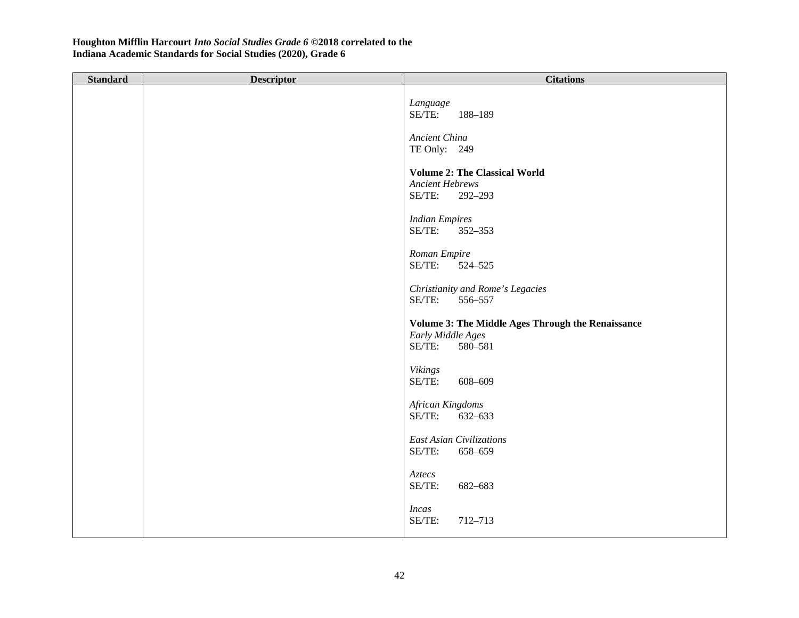| <b>Standard</b> | <b>Descriptor</b> | <b>Citations</b>                                                                            |
|-----------------|-------------------|---------------------------------------------------------------------------------------------|
|                 |                   | Language<br>SE/TE:<br>188-189                                                               |
|                 |                   | Ancient China<br>TE Only: 249                                                               |
|                 |                   | <b>Volume 2: The Classical World</b><br><b>Ancient Hebrews</b><br>SE/TE:<br>292-293         |
|                 |                   | <b>Indian Empires</b><br>SE/TE:<br>352-353                                                  |
|                 |                   | Roman Empire<br>SE/TE:<br>524-525                                                           |
|                 |                   | Christianity and Rome's Legacies<br>SE/TE:<br>556-557                                       |
|                 |                   | Volume 3: The Middle Ages Through the Renaissance<br>Early Middle Ages<br>SE/TE:<br>580-581 |
|                 |                   | <b>Vikings</b><br>SE/TE:<br>608-609                                                         |
|                 |                   | African Kingdoms<br>SE/TE:<br>632-633                                                       |
|                 |                   | East Asian Civilizations<br>SE/TE:<br>658-659                                               |
|                 |                   | Aztecs<br>SE/TE:<br>682-683                                                                 |
|                 |                   | <b>Incas</b><br>SE/TE:<br>712-713                                                           |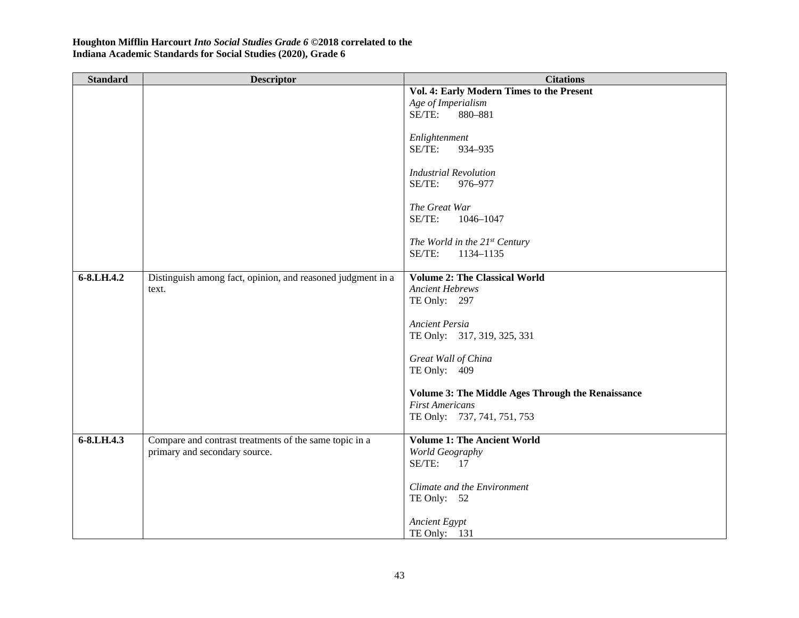| <b>Standard</b> | <b>Descriptor</b>                                           | <b>Citations</b>                                         |
|-----------------|-------------------------------------------------------------|----------------------------------------------------------|
|                 |                                                             | Vol. 4: Early Modern Times to the Present                |
|                 |                                                             | Age of Imperialism                                       |
|                 |                                                             | SE/TE:<br>880-881                                        |
|                 |                                                             |                                                          |
|                 |                                                             | Enlightenment                                            |
|                 |                                                             | SE/TE:<br>934-935                                        |
|                 |                                                             |                                                          |
|                 |                                                             | <b>Industrial Revolution</b>                             |
|                 |                                                             | SE/TE:<br>976-977                                        |
|                 |                                                             |                                                          |
|                 |                                                             | The Great War                                            |
|                 |                                                             | SE/TE:<br>1046-1047                                      |
|                 |                                                             | The World in the 21st Century                            |
|                 |                                                             | SE/TE:<br>1134-1135                                      |
|                 |                                                             |                                                          |
| 6-8.LH.4.2      | Distinguish among fact, opinion, and reasoned judgment in a | <b>Volume 2: The Classical World</b>                     |
|                 | text.                                                       | <b>Ancient Hebrews</b>                                   |
|                 |                                                             | TE Only: 297                                             |
|                 |                                                             |                                                          |
|                 |                                                             | <b>Ancient Persia</b>                                    |
|                 |                                                             | TE Only: 317, 319, 325, 331                              |
|                 |                                                             |                                                          |
|                 |                                                             | Great Wall of China                                      |
|                 |                                                             | TE Only: 409                                             |
|                 |                                                             |                                                          |
|                 |                                                             | <b>Volume 3: The Middle Ages Through the Renaissance</b> |
|                 |                                                             | <b>First Americans</b>                                   |
|                 |                                                             | TE Only: 737, 741, 751, 753                              |
| 6-8.LH.4.3      | Compare and contrast treatments of the same topic in a      | <b>Volume 1: The Ancient World</b>                       |
|                 | primary and secondary source.                               |                                                          |
|                 |                                                             | World Geography<br>SE/TE:<br>17                          |
|                 |                                                             |                                                          |
|                 |                                                             | Climate and the Environment                              |
|                 |                                                             | TE Only: 52                                              |
|                 |                                                             |                                                          |
|                 |                                                             | <b>Ancient Egypt</b>                                     |
|                 |                                                             | TE Only: 131                                             |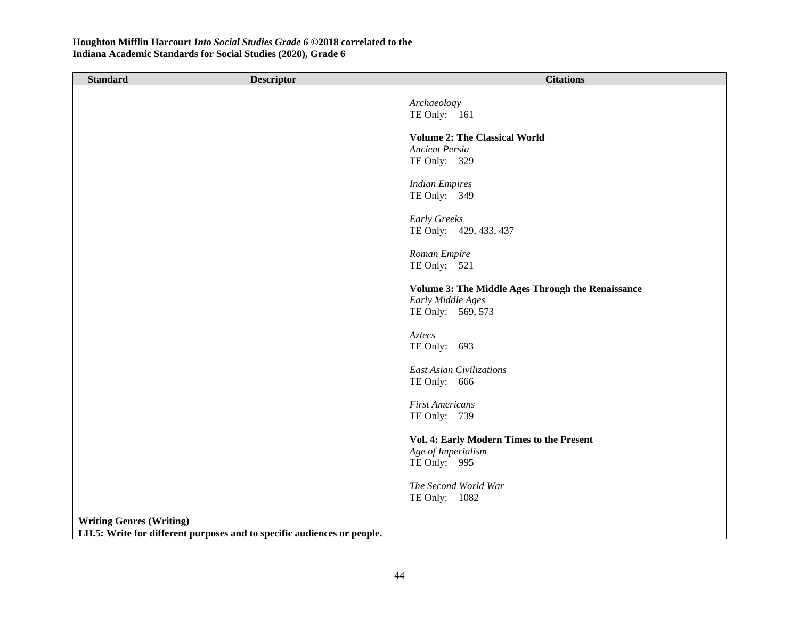| <b>Standard</b>                 | <b>Descriptor</b>                                                       | <b>Citations</b>                                                                            |  |
|---------------------------------|-------------------------------------------------------------------------|---------------------------------------------------------------------------------------------|--|
|                                 |                                                                         | Archaeology<br>TE Only: 161                                                                 |  |
|                                 |                                                                         | <b>Volume 2: The Classical World</b><br><b>Ancient Persia</b><br>TE Only: 329               |  |
|                                 |                                                                         | <b>Indian Empires</b><br>TE Only: 349                                                       |  |
|                                 |                                                                         | Early Greeks<br>TE Only: 429, 433, 437                                                      |  |
|                                 |                                                                         | Roman Empire<br>TE Only: 521                                                                |  |
|                                 |                                                                         | Volume 3: The Middle Ages Through the Renaissance<br>Early Middle Ages<br>TE Only: 569, 573 |  |
|                                 |                                                                         | Aztecs<br>TE Only: 693                                                                      |  |
|                                 |                                                                         | <b>East Asian Civilizations</b><br>TE Only: 666                                             |  |
|                                 |                                                                         | <b>First Americans</b><br>TE Only: 739                                                      |  |
|                                 |                                                                         | Vol. 4: Early Modern Times to the Present<br>Age of Imperialism<br>TE Only: 995             |  |
|                                 |                                                                         | The Second World War<br>TE Only: 1082                                                       |  |
| <b>Writing Genres (Writing)</b> |                                                                         |                                                                                             |  |
|                                 | LH.5: Write for different purposes and to specific audiences or people. |                                                                                             |  |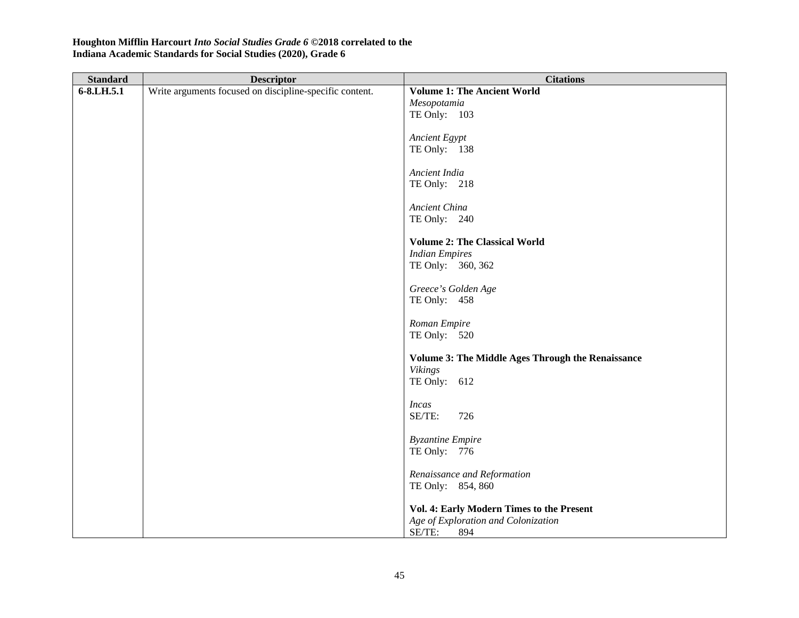| <b>Standard</b> | <b>Descriptor</b>                                       | <b>Citations</b>                                         |
|-----------------|---------------------------------------------------------|----------------------------------------------------------|
| 6-8.LH.5.1      | Write arguments focused on discipline-specific content. | <b>Volume 1: The Ancient World</b>                       |
|                 |                                                         | Mesopotamia                                              |
|                 |                                                         | TE Only: 103                                             |
|                 |                                                         |                                                          |
|                 |                                                         | Ancient Egypt                                            |
|                 |                                                         | TE Only: 138                                             |
|                 |                                                         |                                                          |
|                 |                                                         | Ancient India                                            |
|                 |                                                         | TE Only: 218                                             |
|                 |                                                         |                                                          |
|                 |                                                         | Ancient China                                            |
|                 |                                                         | TE Only: 240                                             |
|                 |                                                         |                                                          |
|                 |                                                         | <b>Volume 2: The Classical World</b>                     |
|                 |                                                         | <b>Indian Empires</b>                                    |
|                 |                                                         | TE Only: 360, 362                                        |
|                 |                                                         |                                                          |
|                 |                                                         | Greece's Golden Age<br>TE Only: 458                      |
|                 |                                                         |                                                          |
|                 |                                                         | Roman Empire                                             |
|                 |                                                         | TE Only: 520                                             |
|                 |                                                         |                                                          |
|                 |                                                         | <b>Volume 3: The Middle Ages Through the Renaissance</b> |
|                 |                                                         | <b>Vikings</b>                                           |
|                 |                                                         | TE Only: 612                                             |
|                 |                                                         |                                                          |
|                 |                                                         | <b>Incas</b>                                             |
|                 |                                                         | SE/TE:<br>726                                            |
|                 |                                                         |                                                          |
|                 |                                                         | <b>Byzantine Empire</b>                                  |
|                 |                                                         | TE Only: 776                                             |
|                 |                                                         |                                                          |
|                 |                                                         | Renaissance and Reformation                              |
|                 |                                                         | TE Only: 854, 860                                        |
|                 |                                                         |                                                          |
|                 |                                                         | Vol. 4: Early Modern Times to the Present                |
|                 |                                                         | Age of Exploration and Colonization                      |
|                 |                                                         | SE/TE:<br>894                                            |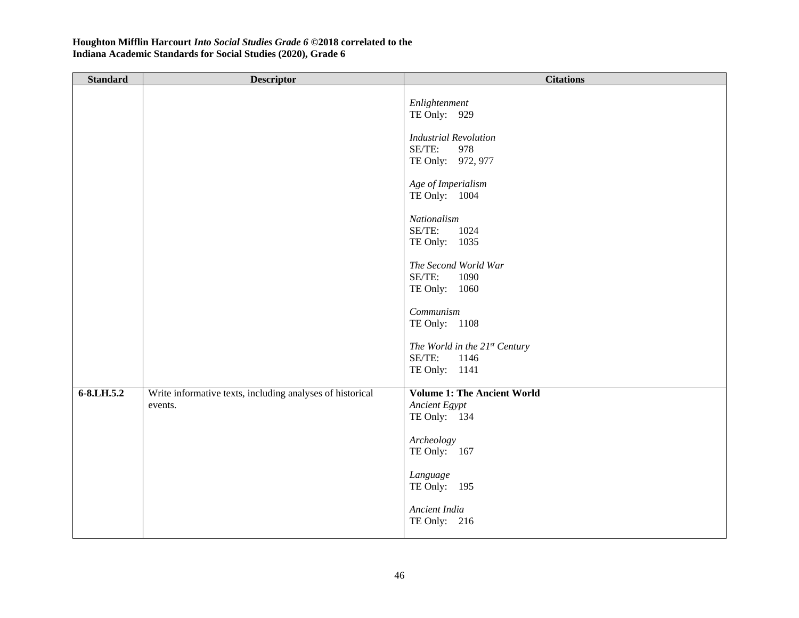| <b>Standard</b> | <b>Descriptor</b>                                                    | <b>Citations</b>                                                               |
|-----------------|----------------------------------------------------------------------|--------------------------------------------------------------------------------|
|                 |                                                                      | Enlightenment<br>TE Only: 929<br><b>Industrial Revolution</b><br>SE/TE:<br>978 |
|                 |                                                                      | TE Only: 972, 977<br>Age of Imperialism                                        |
|                 |                                                                      | TE Only: 1004                                                                  |
|                 |                                                                      | Nationalism<br>SE/TE:<br>1024<br>TE Only: 1035                                 |
|                 |                                                                      | The Second World War<br>SE/TE:<br>1090                                         |
|                 |                                                                      | TE Only: 1060                                                                  |
|                 |                                                                      | Communism<br>TE Only: 1108                                                     |
|                 |                                                                      | The World in the 21st Century<br>SE/TE:<br>1146                                |
|                 |                                                                      | TE Only: 1141                                                                  |
| 6-8.LH.5.2      | Write informative texts, including analyses of historical<br>events. | <b>Volume 1: The Ancient World</b><br>Ancient Egypt<br>TE Only: 134            |
|                 |                                                                      | Archeology<br>TE Only: 167                                                     |
|                 |                                                                      | Language<br>TE Only: 195                                                       |
|                 |                                                                      | Ancient India<br>TE Only: 216                                                  |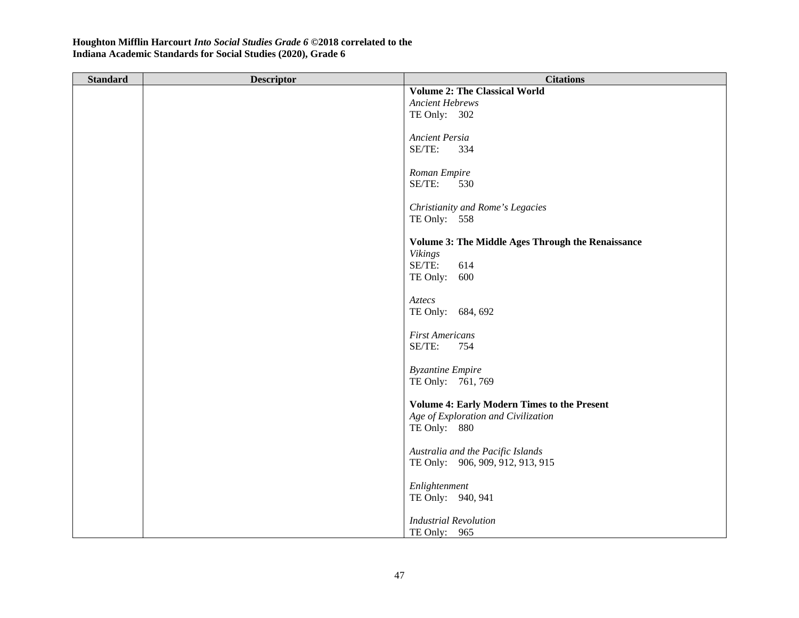| <b>Standard</b> | <b>Descriptor</b> | <b>Citations</b>                                   |
|-----------------|-------------------|----------------------------------------------------|
|                 |                   | <b>Volume 2: The Classical World</b>               |
|                 |                   | <b>Ancient Hebrews</b>                             |
|                 |                   | TE Only: 302                                       |
|                 |                   |                                                    |
|                 |                   | Ancient Persia                                     |
|                 |                   | SE/TE:<br>334                                      |
|                 |                   |                                                    |
|                 |                   | Roman Empire                                       |
|                 |                   | SE/TE:<br>530                                      |
|                 |                   |                                                    |
|                 |                   | Christianity and Rome's Legacies                   |
|                 |                   | TE Only: 558                                       |
|                 |                   |                                                    |
|                 |                   | Volume 3: The Middle Ages Through the Renaissance  |
|                 |                   | <b>Vikings</b>                                     |
|                 |                   | SE/TE:<br>614                                      |
|                 |                   | TE Only: 600                                       |
|                 |                   | Aztecs                                             |
|                 |                   | TE Only: 684, 692                                  |
|                 |                   |                                                    |
|                 |                   | <b>First Americans</b>                             |
|                 |                   | SE/TE:<br>754                                      |
|                 |                   |                                                    |
|                 |                   | <b>Byzantine Empire</b>                            |
|                 |                   | TE Only: 761, 769                                  |
|                 |                   |                                                    |
|                 |                   | <b>Volume 4: Early Modern Times to the Present</b> |
|                 |                   | Age of Exploration and Civilization                |
|                 |                   | TE Only: 880                                       |
|                 |                   |                                                    |
|                 |                   | Australia and the Pacific Islands                  |
|                 |                   | TE Only: 906, 909, 912, 913, 915                   |
|                 |                   |                                                    |
|                 |                   | Enlightenment                                      |
|                 |                   | TE Only: 940, 941                                  |
|                 |                   |                                                    |
|                 |                   | <b>Industrial Revolution</b>                       |
|                 |                   | TE Only: 965                                       |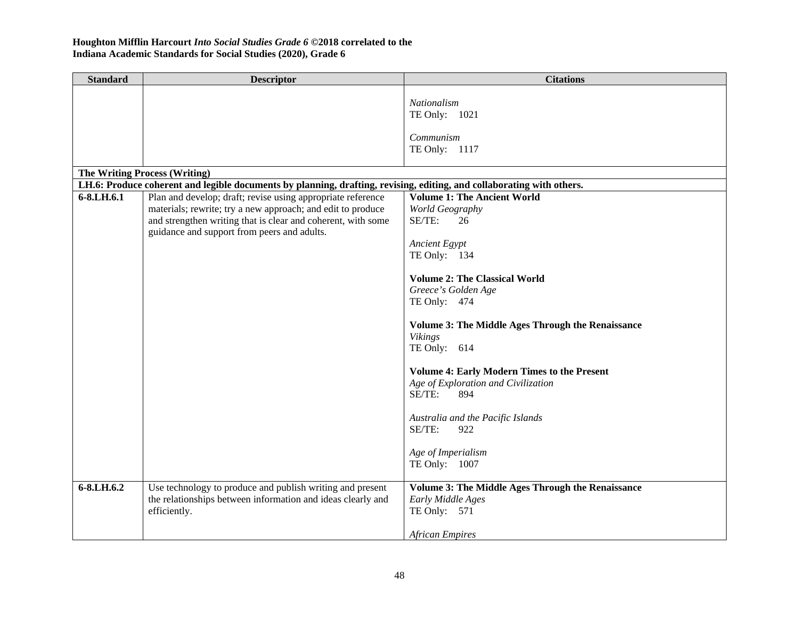| <b>Standard</b> | <b>Descriptor</b>                                                                                                                                                                                                                         | <b>Citations</b>                                                                                                                                                                                                                                                                                                                                                                                                                                                                                      |
|-----------------|-------------------------------------------------------------------------------------------------------------------------------------------------------------------------------------------------------------------------------------------|-------------------------------------------------------------------------------------------------------------------------------------------------------------------------------------------------------------------------------------------------------------------------------------------------------------------------------------------------------------------------------------------------------------------------------------------------------------------------------------------------------|
|                 |                                                                                                                                                                                                                                           | Nationalism<br>TE Only: 1021<br>Communism<br>TE Only: 1117                                                                                                                                                                                                                                                                                                                                                                                                                                            |
|                 | <b>The Writing Process (Writing)</b>                                                                                                                                                                                                      |                                                                                                                                                                                                                                                                                                                                                                                                                                                                                                       |
|                 | LH.6: Produce coherent and legible documents by planning, drafting, revising, editing, and collaborating with others.                                                                                                                     |                                                                                                                                                                                                                                                                                                                                                                                                                                                                                                       |
| 6-8.LH.6.1      | Plan and develop; draft; revise using appropriate reference<br>materials; rewrite; try a new approach; and edit to produce<br>and strengthen writing that is clear and coherent, with some<br>guidance and support from peers and adults. | <b>Volume 1: The Ancient World</b><br>World Geography<br>SE/TE:<br>26<br><b>Ancient Egypt</b><br>TE Only: 134<br><b>Volume 2: The Classical World</b><br>Greece's Golden Age<br>TE Only: 474<br><b>Volume 3: The Middle Ages Through the Renaissance</b><br><b>Vikings</b><br>TE Only: 614<br><b>Volume 4: Early Modern Times to the Present</b><br>Age of Exploration and Civilization<br>SE/TE:<br>894<br>Australia and the Pacific Islands<br>SE/TE:<br>922<br>Age of Imperialism<br>TE Only: 1007 |
| 6-8.LH.6.2      | Use technology to produce and publish writing and present<br>the relationships between information and ideas clearly and<br>efficiently.                                                                                                  | <b>Volume 3: The Middle Ages Through the Renaissance</b><br>Early Middle Ages<br>TE Only: 571<br><b>African Empires</b>                                                                                                                                                                                                                                                                                                                                                                               |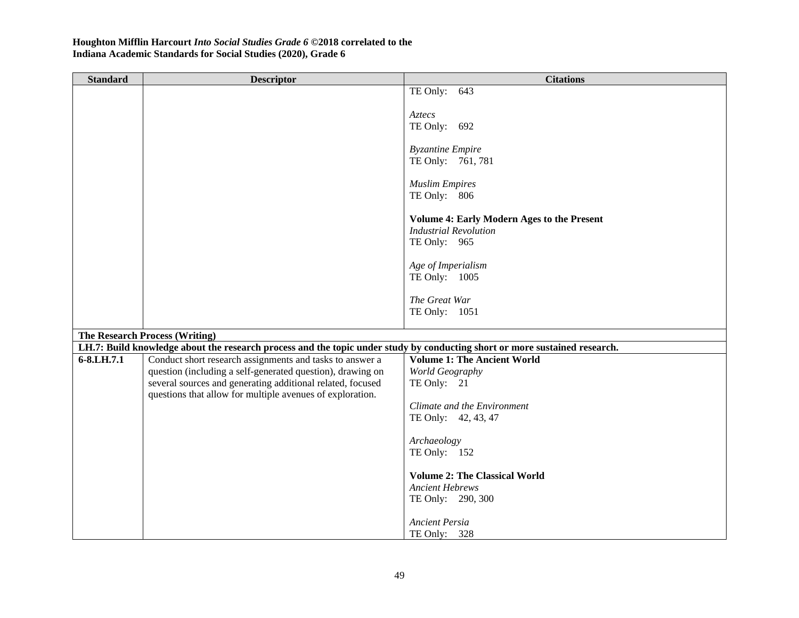| <b>Standard</b> | <b>Descriptor</b>                                                                                                                                                   | <b>Citations</b>                                  |
|-----------------|---------------------------------------------------------------------------------------------------------------------------------------------------------------------|---------------------------------------------------|
|                 |                                                                                                                                                                     | TE Only: 643                                      |
|                 |                                                                                                                                                                     |                                                   |
|                 |                                                                                                                                                                     | Aztecs                                            |
|                 |                                                                                                                                                                     | TE Only: 692                                      |
|                 |                                                                                                                                                                     | <b>Byzantine Empire</b>                           |
|                 |                                                                                                                                                                     | TE Only: 761, 781                                 |
|                 |                                                                                                                                                                     |                                                   |
|                 |                                                                                                                                                                     | <b>Muslim Empires</b>                             |
|                 |                                                                                                                                                                     | TE Only: 806                                      |
|                 |                                                                                                                                                                     |                                                   |
|                 |                                                                                                                                                                     | <b>Volume 4: Early Modern Ages to the Present</b> |
|                 |                                                                                                                                                                     | <b>Industrial Revolution</b>                      |
|                 |                                                                                                                                                                     | TE Only: 965                                      |
|                 |                                                                                                                                                                     | Age of Imperialism                                |
|                 |                                                                                                                                                                     | TE Only: 1005                                     |
|                 |                                                                                                                                                                     |                                                   |
|                 |                                                                                                                                                                     | The Great War                                     |
|                 |                                                                                                                                                                     | TE Only: 1051                                     |
|                 |                                                                                                                                                                     |                                                   |
|                 | <b>The Research Process (Writing)</b><br>LH.7: Build knowledge about the research process and the topic under study by conducting short or more sustained research. |                                                   |
| 6-8.LH.7.1      | Conduct short research assignments and tasks to answer a                                                                                                            | <b>Volume 1: The Ancient World</b>                |
|                 | question (including a self-generated question), drawing on                                                                                                          | World Geography                                   |
|                 | several sources and generating additional related, focused                                                                                                          | TE Only: 21                                       |
|                 | questions that allow for multiple avenues of exploration.                                                                                                           |                                                   |
|                 |                                                                                                                                                                     | Climate and the Environment                       |
|                 |                                                                                                                                                                     | TE Only: 42, 43, 47                               |
|                 |                                                                                                                                                                     |                                                   |
|                 |                                                                                                                                                                     | Archaeology<br>TE Only: 152                       |
|                 |                                                                                                                                                                     |                                                   |
|                 |                                                                                                                                                                     | <b>Volume 2: The Classical World</b>              |
|                 |                                                                                                                                                                     | <b>Ancient Hebrews</b>                            |
|                 |                                                                                                                                                                     | TE Only: 290, 300                                 |
|                 |                                                                                                                                                                     |                                                   |
|                 |                                                                                                                                                                     | <b>Ancient Persia</b>                             |
|                 |                                                                                                                                                                     | TE Only: 328                                      |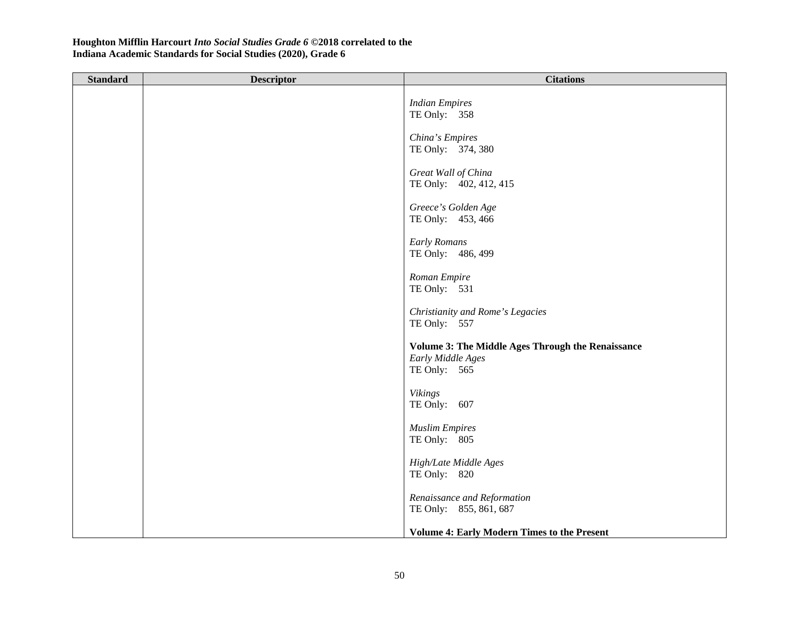| <b>Standard</b> | <b>Descriptor</b> | <b>Citations</b>                                                                         |
|-----------------|-------------------|------------------------------------------------------------------------------------------|
|                 |                   | <b>Indian Empires</b><br>TE Only: 358                                                    |
|                 |                   | China's Empires<br>TE Only: 374, 380                                                     |
|                 |                   | Great Wall of China<br>TE Only: 402, 412, 415                                            |
|                 |                   | Greece's Golden Age<br>TE Only: 453, 466                                                 |
|                 |                   | <b>Early Romans</b><br>TE Only: 486, 499                                                 |
|                 |                   | Roman Empire<br>TE Only: 531                                                             |
|                 |                   | Christianity and Rome's Legacies<br>TE Only: 557                                         |
|                 |                   | Volume 3: The Middle Ages Through the Renaissance<br>Early Middle Ages<br>TE Only: $565$ |
|                 |                   | <b>Vikings</b><br>TE Only: 607                                                           |
|                 |                   | <b>Muslim Empires</b><br>TE Only: 805                                                    |
|                 |                   | High/Late Middle Ages<br>TE Only: 820                                                    |
|                 |                   | Renaissance and Reformation<br>TE Only: 855, 861, 687                                    |
|                 |                   | <b>Volume 4: Early Modern Times to the Present</b>                                       |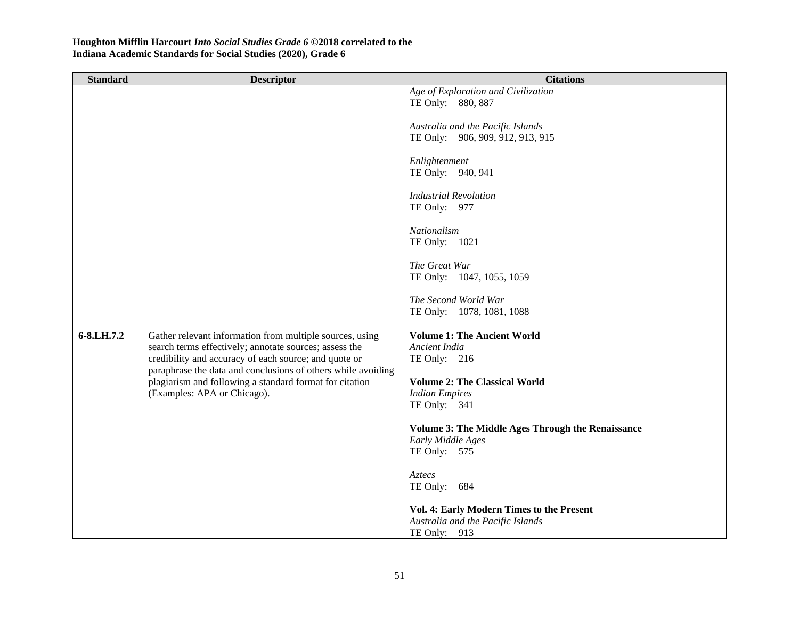| <b>Standard</b> | <b>Descriptor</b>                                                                                                                                                                                                                                                                                                                     | <b>Citations</b>                                  |
|-----------------|---------------------------------------------------------------------------------------------------------------------------------------------------------------------------------------------------------------------------------------------------------------------------------------------------------------------------------------|---------------------------------------------------|
|                 |                                                                                                                                                                                                                                                                                                                                       | Age of Exploration and Civilization               |
|                 |                                                                                                                                                                                                                                                                                                                                       | TE Only: 880, 887                                 |
|                 |                                                                                                                                                                                                                                                                                                                                       | Australia and the Pacific Islands                 |
|                 |                                                                                                                                                                                                                                                                                                                                       | TE Only: 906, 909, 912, 913, 915                  |
|                 |                                                                                                                                                                                                                                                                                                                                       | Enlightenment                                     |
|                 |                                                                                                                                                                                                                                                                                                                                       | TE Only: 940, 941                                 |
|                 |                                                                                                                                                                                                                                                                                                                                       | <b>Industrial Revolution</b>                      |
|                 |                                                                                                                                                                                                                                                                                                                                       | TE Only: 977                                      |
|                 |                                                                                                                                                                                                                                                                                                                                       |                                                   |
|                 |                                                                                                                                                                                                                                                                                                                                       | Nationalism<br>TE Only: 1021                      |
|                 |                                                                                                                                                                                                                                                                                                                                       |                                                   |
|                 |                                                                                                                                                                                                                                                                                                                                       | The Great War                                     |
|                 |                                                                                                                                                                                                                                                                                                                                       | TE Only: 1047, 1055, 1059                         |
|                 |                                                                                                                                                                                                                                                                                                                                       | The Second World War                              |
|                 |                                                                                                                                                                                                                                                                                                                                       | TE Only: 1078, 1081, 1088                         |
| 6-8.LH.7.2      | Gather relevant information from multiple sources, using<br>search terms effectively; annotate sources; assess the<br>credibility and accuracy of each source; and quote or<br>paraphrase the data and conclusions of others while avoiding<br>plagiarism and following a standard format for citation<br>(Examples: APA or Chicago). | <b>Volume 1: The Ancient World</b>                |
|                 |                                                                                                                                                                                                                                                                                                                                       | Ancient India                                     |
|                 |                                                                                                                                                                                                                                                                                                                                       | TE Only: 216                                      |
|                 |                                                                                                                                                                                                                                                                                                                                       | <b>Volume 2: The Classical World</b>              |
|                 |                                                                                                                                                                                                                                                                                                                                       | <b>Indian Empires</b>                             |
|                 |                                                                                                                                                                                                                                                                                                                                       | TE Only: 341                                      |
|                 |                                                                                                                                                                                                                                                                                                                                       | Volume 3: The Middle Ages Through the Renaissance |
|                 |                                                                                                                                                                                                                                                                                                                                       | Early Middle Ages                                 |
|                 |                                                                                                                                                                                                                                                                                                                                       | TE Only: 575                                      |
|                 |                                                                                                                                                                                                                                                                                                                                       | Aztecs                                            |
|                 |                                                                                                                                                                                                                                                                                                                                       | TE Only: 684                                      |
|                 |                                                                                                                                                                                                                                                                                                                                       | Vol. 4: Early Modern Times to the Present         |
|                 |                                                                                                                                                                                                                                                                                                                                       | Australia and the Pacific Islands                 |
|                 |                                                                                                                                                                                                                                                                                                                                       | TE Only: 913                                      |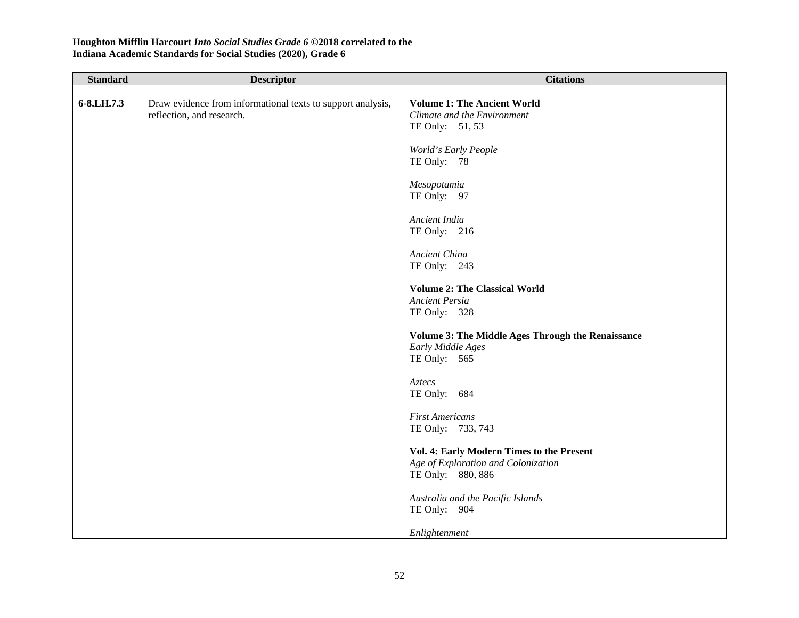| <b>Standard</b> | <b>Descriptor</b>                                                                        | <b>Citations</b>                                                                                      |
|-----------------|------------------------------------------------------------------------------------------|-------------------------------------------------------------------------------------------------------|
|                 |                                                                                          |                                                                                                       |
| 6-8.LH.7.3      | Draw evidence from informational texts to support analysis,<br>reflection, and research. | <b>Volume 1: The Ancient World</b><br>Climate and the Environment<br>TE Only: 51, 53                  |
|                 |                                                                                          | World's Early People<br>TE Only: 78                                                                   |
|                 |                                                                                          | Mesopotamia<br>TE Only: 97                                                                            |
|                 |                                                                                          | Ancient India<br>TE Only: 216                                                                         |
|                 |                                                                                          | Ancient China<br>TE Only: 243                                                                         |
|                 |                                                                                          | <b>Volume 2: The Classical World</b><br><b>Ancient Persia</b><br>TE Only: 328                         |
|                 |                                                                                          | <b>Volume 3: The Middle Ages Through the Renaissance</b><br>Early Middle Ages<br>TE Only: $565$       |
|                 |                                                                                          | Aztecs<br>TE Only: 684                                                                                |
|                 |                                                                                          | <b>First Americans</b><br>TE Only: 733, 743                                                           |
|                 |                                                                                          | Vol. 4: Early Modern Times to the Present<br>Age of Exploration and Colonization<br>TE Only: 880, 886 |
|                 |                                                                                          | Australia and the Pacific Islands<br>TE Only: 904                                                     |
|                 |                                                                                          | Enlightenment                                                                                         |